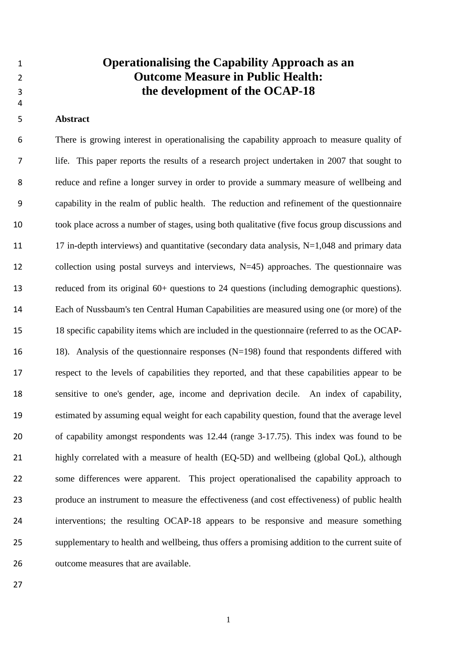# **Operationalising the Capability Approach as an Outcome Measure in Public Health: the development of the OCAP-18**

### **Abstract**

 There is growing interest in operationalising the capability approach to measure quality of life. This paper reports the results of a research project undertaken in 2007 that sought to reduce and refine a longer survey in order to provide a summary measure of wellbeing and capability in the realm of public health. The reduction and refinement of the questionnaire took place across a number of stages, using both qualitative (five focus group discussions and 11 17 in-depth interviews) and quantitative (secondary data analysis, N=1,048 and primary data collection using postal surveys and interviews, N=45) approaches. The questionnaire was reduced from its original 60+ questions to 24 questions (including demographic questions). Each of Nussbaum's ten Central Human Capabilities are measured using one (or more) of the 18 specific capability items which are included in the questionnaire (referred to as the OCAP- 18). Analysis of the questionnaire responses (N=198) found that respondents differed with respect to the levels of capabilities they reported, and that these capabilities appear to be sensitive to one's gender, age, income and deprivation decile. An index of capability, estimated by assuming equal weight for each capability question, found that the average level of capability amongst respondents was 12.44 (range 3-17.75). This index was found to be highly correlated with a measure of health (EQ-5D) and wellbeing (global QoL), although some differences were apparent. This project operationalised the capability approach to produce an instrument to measure the effectiveness (and cost effectiveness) of public health interventions; the resulting OCAP-18 appears to be responsive and measure something supplementary to health and wellbeing, thus offers a promising addition to the current suite of outcome measures that are available.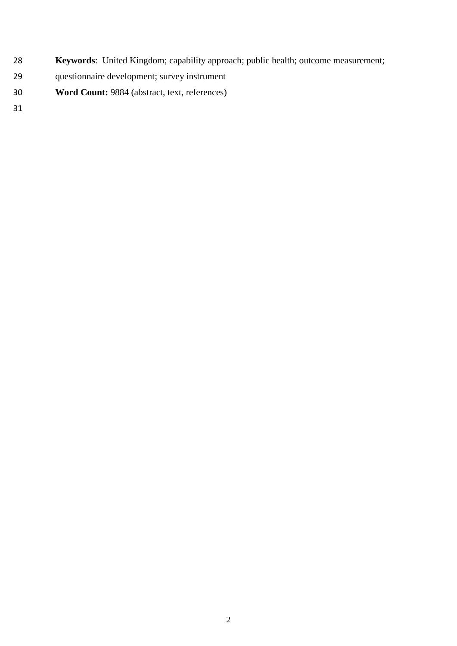- **Keywords**: United Kingdom; capability approach; public health; outcome measurement;
- questionnaire development; survey instrument
- **Word Count:** 9884 (abstract, text, references)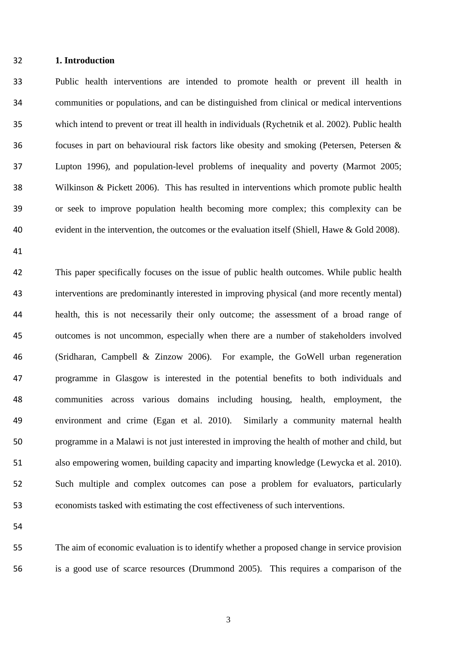# **1. Introduction**

 Public health interventions are intended to promote health or prevent ill health in communities or populations, and can be distinguished from clinical or medical interventions which intend to prevent or treat ill health in individuals (Rychetnik et al. 2002). Public health focuses in part on behavioural risk factors like obesity and smoking (Petersen, Petersen & Lupton 1996), and population-level problems of inequality and poverty (Marmot 2005; Wilkinson & Pickett 2006). This has resulted in interventions which promote public health or seek to improve population health becoming more complex; this complexity can be evident in the intervention, the outcomes or the evaluation itself (Shiell, Hawe & Gold 2008).

 This paper specifically focuses on the issue of public health outcomes. While public health interventions are predominantly interested in improving physical (and more recently mental) health, this is not necessarily their only outcome; the assessment of a broad range of outcomes is not uncommon, especially when there are a number of stakeholders involved (Sridharan, Campbell & Zinzow 2006). For example, the GoWell urban regeneration programme in Glasgow is interested in the potential benefits to both individuals and communities across various domains including housing, health, employment, the environment and crime (Egan et al. 2010). Similarly a community maternal health programme in a Malawi is not just interested in improving the health of mother and child, but also empowering women, building capacity and imparting knowledge (Lewycka et al. 2010). Such multiple and complex outcomes can pose a problem for evaluators, particularly economists tasked with estimating the cost effectiveness of such interventions.

 The aim of economic evaluation is to identify whether a proposed change in service provision is a good use of scarce resources (Drummond 2005). This requires a comparison of the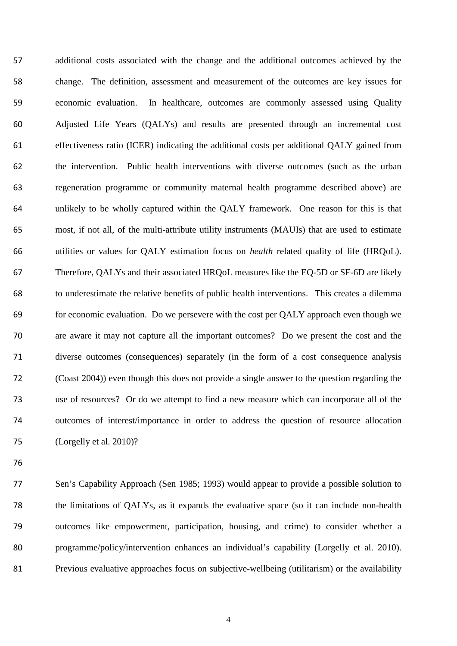additional costs associated with the change and the additional outcomes achieved by the change. The definition, assessment and measurement of the outcomes are key issues for economic evaluation. In healthcare, outcomes are commonly assessed using Quality Adjusted Life Years (QALYs) and results are presented through an incremental cost effectiveness ratio (ICER) indicating the additional costs per additional QALY gained from the intervention. Public health interventions with diverse outcomes (such as the urban regeneration programme or community maternal health programme described above) are unlikely to be wholly captured within the QALY framework. One reason for this is that most, if not all, of the multi-attribute utility instruments (MAUIs) that are used to estimate utilities or values for QALY estimation focus on *health* related quality of life (HRQoL). Therefore, QALYs and their associated HRQoL measures like the EQ-5D or SF-6D are likely to underestimate the relative benefits of public health interventions. This creates a dilemma for economic evaluation. Do we persevere with the cost per QALY approach even though we are aware it may not capture all the important outcomes? Do we present the cost and the diverse outcomes (consequences) separately (in the form of a cost consequence analysis (Coast 2004)) even though this does not provide a single answer to the question regarding the use of resources? Or do we attempt to find a new measure which can incorporate all of the outcomes of interest/importance in order to address the question of resource allocation (Lorgelly et al. 2010)?

 Sen's Capability Approach (Sen 1985; 1993) would appear to provide a possible solution to the limitations of QALYs, as it expands the evaluative space (so it can include non-health outcomes like empowerment, participation, housing, and crime) to consider whether a programme/policy/intervention enhances an individual's capability (Lorgelly et al. 2010). Previous evaluative approaches focus on subjective-wellbeing (utilitarism) or the availability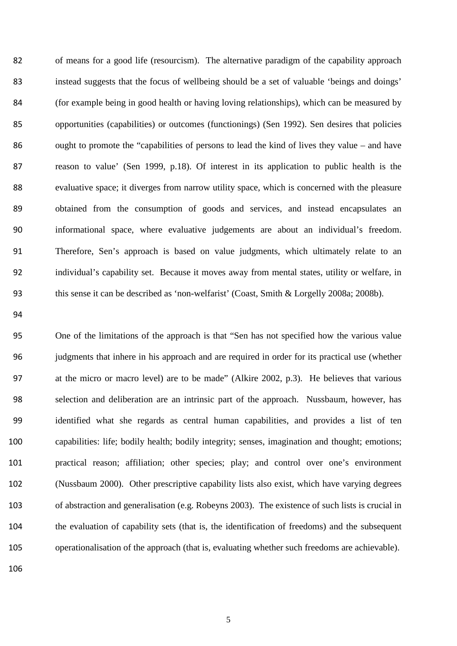of means for a good life (resourcism). The alternative paradigm of the capability approach instead suggests that the focus of wellbeing should be a set of valuable 'beings and doings' (for example being in good health or having loving relationships), which can be measured by opportunities (capabilities) or outcomes (functionings) (Sen 1992). Sen desires that policies ought to promote the "capabilities of persons to lead the kind of lives they value – and have reason to value' (Sen 1999, p.18). Of interest in its application to public health is the evaluative space; it diverges from narrow utility space, which is concerned with the pleasure obtained from the consumption of goods and services, and instead encapsulates an informational space, where evaluative judgements are about an individual's freedom. Therefore, Sen's approach is based on value judgments, which ultimately relate to an individual's capability set. Because it moves away from mental states, utility or welfare, in this sense it can be described as 'non-welfarist' (Coast, Smith & Lorgelly 2008a; 2008b).

 One of the limitations of the approach is that "Sen has not specified how the various value judgments that inhere in his approach and are required in order for its practical use (whether at the micro or macro level) are to be made" (Alkire 2002, p.3). He believes that various selection and deliberation are an intrinsic part of the approach. Nussbaum, however, has identified what she regards as central human capabilities, and provides a list of ten capabilities: life; bodily health; bodily integrity; senses, imagination and thought; emotions; practical reason; affiliation; other species; play; and control over one's environment (Nussbaum 2000). Other prescriptive capability lists also exist, which have varying degrees of abstraction and generalisation (e.g. Robeyns 2003). The existence of such lists is crucial in the evaluation of capability sets (that is, the identification of freedoms) and the subsequent operationalisation of the approach (that is, evaluating whether such freedoms are achievable).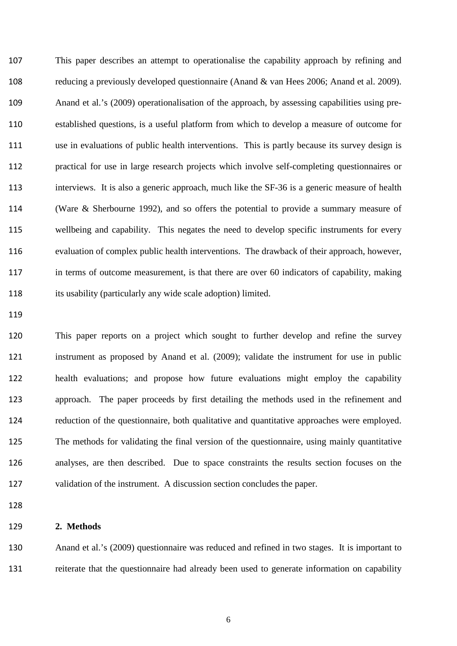This paper describes an attempt to operationalise the capability approach by refining and reducing a previously developed questionnaire (Anand & van Hees 2006; Anand et al. 2009). Anand et al.'s (2009) operationalisation of the approach, by assessing capabilities using pre- established questions, is a useful platform from which to develop a measure of outcome for use in evaluations of public health interventions. This is partly because its survey design is practical for use in large research projects which involve self-completing questionnaires or interviews. It is also a generic approach, much like the SF-36 is a generic measure of health (Ware & Sherbourne 1992), and so offers the potential to provide a summary measure of wellbeing and capability. This negates the need to develop specific instruments for every evaluation of complex public health interventions. The drawback of their approach, however, 117 in terms of outcome measurement, is that there are over 60 indicators of capability, making its usability (particularly any wide scale adoption) limited.

 This paper reports on a project which sought to further develop and refine the survey instrument as proposed by Anand et al. (2009); validate the instrument for use in public health evaluations; and propose how future evaluations might employ the capability approach. The paper proceeds by first detailing the methods used in the refinement and reduction of the questionnaire, both qualitative and quantitative approaches were employed. The methods for validating the final version of the questionnaire, using mainly quantitative analyses, are then described. Due to space constraints the results section focuses on the validation of the instrument. A discussion section concludes the paper.

```
129 2. Methods
```
 Anand et al.'s (2009) questionnaire was reduced and refined in two stages. It is important to reiterate that the questionnaire had already been used to generate information on capability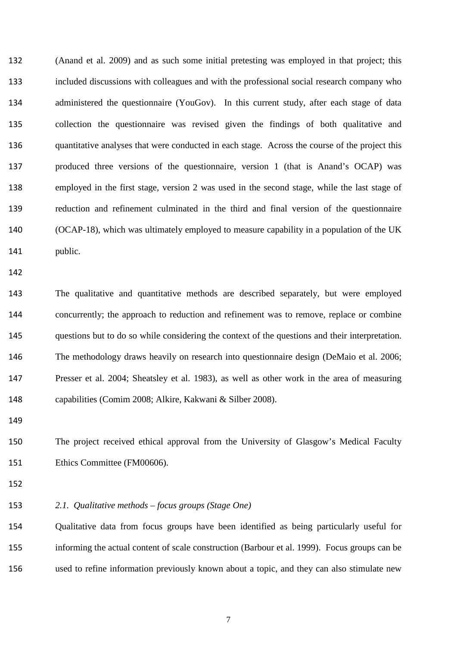(Anand et al. 2009) and as such some initial pretesting was employed in that project; this included discussions with colleagues and with the professional social research company who administered the questionnaire (YouGov). In this current study, after each stage of data collection the questionnaire was revised given the findings of both qualitative and 136 quantitative analyses that were conducted in each stage. Across the course of the project this produced three versions of the questionnaire, version 1 (that is Anand's OCAP) was employed in the first stage, version 2 was used in the second stage, while the last stage of reduction and refinement culminated in the third and final version of the questionnaire (OCAP-18), which was ultimately employed to measure capability in a population of the UK public.

 The qualitative and quantitative methods are described separately, but were employed concurrently; the approach to reduction and refinement was to remove, replace or combine questions but to do so while considering the context of the questions and their interpretation. The methodology draws heavily on research into questionnaire design (DeMaio et al. 2006; Presser et al. 2004; Sheatsley et al. 1983), as well as other work in the area of measuring capabilities (Comim 2008; Alkire, Kakwani & Silber 2008).

 The project received ethical approval from the University of Glasgow's Medical Faculty Ethics Committee (FM00606).

# *2.1. Qualitative methods – focus groups (Stage One)*

 Qualitative data from focus groups have been identified as being particularly useful for informing the actual content of scale construction (Barbour et al. 1999). Focus groups can be used to refine information previously known about a topic, and they can also stimulate new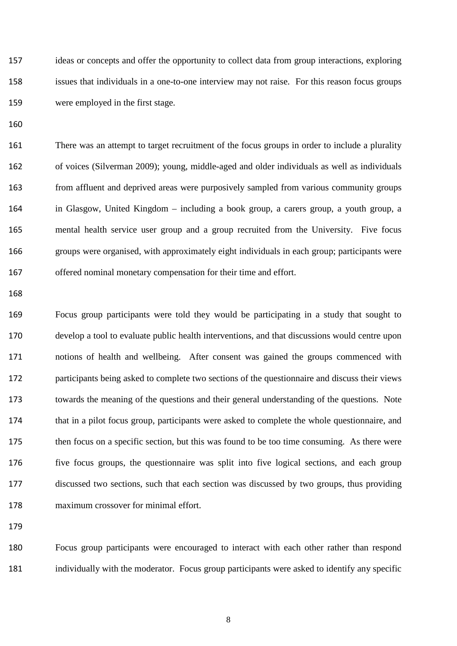ideas or concepts and offer the opportunity to collect data from group interactions, exploring issues that individuals in a one-to-one interview may not raise. For this reason focus groups were employed in the first stage.

 There was an attempt to target recruitment of the focus groups in order to include a plurality of voices (Silverman 2009); young, middle-aged and older individuals as well as individuals from affluent and deprived areas were purposively sampled from various community groups in Glasgow, United Kingdom – including a book group, a carers group, a youth group, a mental health service user group and a group recruited from the University. Five focus groups were organised, with approximately eight individuals in each group; participants were offered nominal monetary compensation for their time and effort.

 Focus group participants were told they would be participating in a study that sought to develop a tool to evaluate public health interventions, and that discussions would centre upon notions of health and wellbeing. After consent was gained the groups commenced with participants being asked to complete two sections of the questionnaire and discuss their views towards the meaning of the questions and their general understanding of the questions. Note that in a pilot focus group, participants were asked to complete the whole questionnaire, and then focus on a specific section, but this was found to be too time consuming. As there were five focus groups, the questionnaire was split into five logical sections, and each group discussed two sections, such that each section was discussed by two groups, thus providing maximum crossover for minimal effort.

 Focus group participants were encouraged to interact with each other rather than respond individually with the moderator. Focus group participants were asked to identify any specific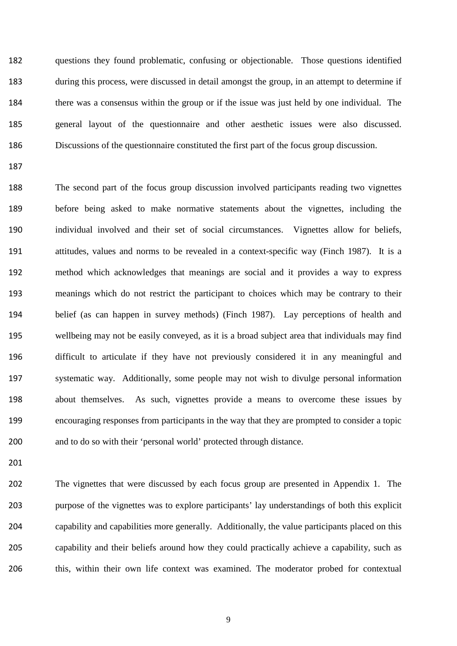questions they found problematic, confusing or objectionable. Those questions identified during this process, were discussed in detail amongst the group, in an attempt to determine if there was a consensus within the group or if the issue was just held by one individual. The general layout of the questionnaire and other aesthetic issues were also discussed. Discussions of the questionnaire constituted the first part of the focus group discussion.

 The second part of the focus group discussion involved participants reading two vignettes before being asked to make normative statements about the vignettes, including the individual involved and their set of social circumstances. Vignettes allow for beliefs, attitudes, values and norms to be revealed in a context-specific way (Finch 1987). It is a method which acknowledges that meanings are social and it provides a way to express meanings which do not restrict the participant to choices which may be contrary to their belief (as can happen in survey methods) (Finch 1987). Lay perceptions of health and wellbeing may not be easily conveyed, as it is a broad subject area that individuals may find difficult to articulate if they have not previously considered it in any meaningful and systematic way. Additionally, some people may not wish to divulge personal information about themselves. As such, vignettes provide a means to overcome these issues by encouraging responses from participants in the way that they are prompted to consider a topic and to do so with their 'personal world' protected through distance.

 The vignettes that were discussed by each focus group are presented in Appendix 1. The purpose of the vignettes was to explore participants' lay understandings of both this explicit capability and capabilities more generally. Additionally, the value participants placed on this capability and their beliefs around how they could practically achieve a capability, such as this, within their own life context was examined. The moderator probed for contextual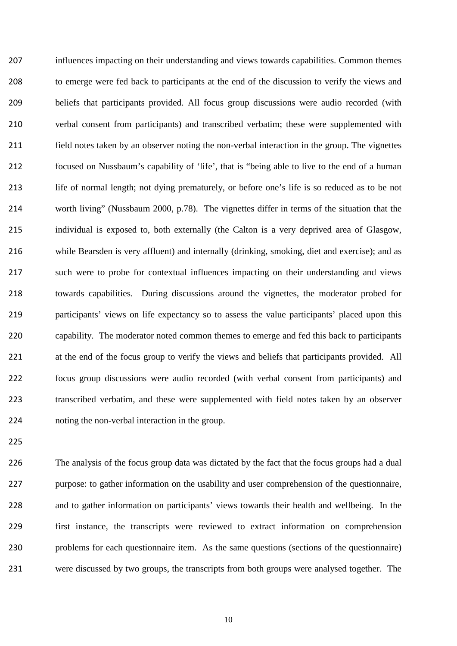influences impacting on their understanding and views towards capabilities. Common themes to emerge were fed back to participants at the end of the discussion to verify the views and beliefs that participants provided. All focus group discussions were audio recorded (with verbal consent from participants) and transcribed verbatim; these were supplemented with field notes taken by an observer noting the non-verbal interaction in the group. The vignettes focused on Nussbaum's capability of 'life', that is "being able to live to the end of a human life of normal length; not dying prematurely, or before one's life is so reduced as to be not worth living" (Nussbaum 2000, p.78). The vignettes differ in terms of the situation that the individual is exposed to, both externally (the Calton is a very deprived area of Glasgow, while Bearsden is very affluent) and internally (drinking, smoking, diet and exercise); and as such were to probe for contextual influences impacting on their understanding and views towards capabilities. During discussions around the vignettes, the moderator probed for participants' views on life expectancy so to assess the value participants' placed upon this capability. The moderator noted common themes to emerge and fed this back to participants at the end of the focus group to verify the views and beliefs that participants provided. All focus group discussions were audio recorded (with verbal consent from participants) and transcribed verbatim, and these were supplemented with field notes taken by an observer noting the non-verbal interaction in the group.

 The analysis of the focus group data was dictated by the fact that the focus groups had a dual purpose: to gather information on the usability and user comprehension of the questionnaire, and to gather information on participants' views towards their health and wellbeing. In the first instance, the transcripts were reviewed to extract information on comprehension problems for each questionnaire item. As the same questions (sections of the questionnaire) were discussed by two groups, the transcripts from both groups were analysed together. The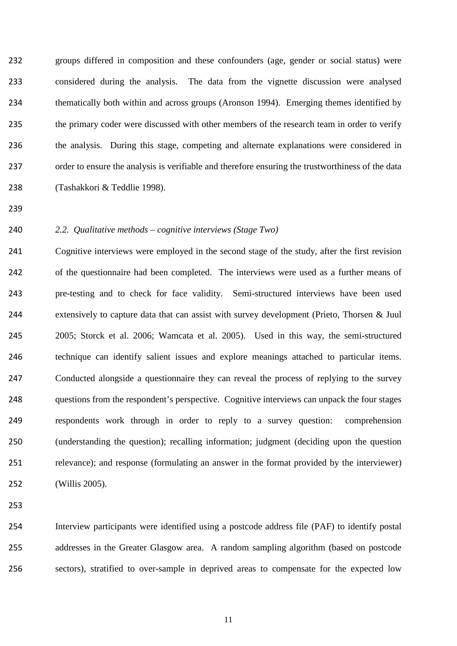groups differed in composition and these confounders (age, gender or social status) were considered during the analysis. The data from the vignette discussion were analysed thematically both within and across groups (Aronson 1994). Emerging themes identified by the primary coder were discussed with other members of the research team in order to verify the analysis. During this stage, competing and alternate explanations were considered in order to ensure the analysis is verifiable and therefore ensuring the trustworthiness of the data (Tashakkori & Teddlie 1998).

### *2.2. Qualitative methods – cognitive interviews (Stage Two)*

 Cognitive interviews were employed in the second stage of the study, after the first revision of the questionnaire had been completed. The interviews were used as a further means of pre-testing and to check for face validity. Semi-structured interviews have been used extensively to capture data that can assist with survey development (Prieto, Thorsen & Juul 2005; Storck et al. 2006; Wamcata et al. 2005). Used in this way, the semi-structured technique can identify salient issues and explore meanings attached to particular items. Conducted alongside a questionnaire they can reveal the process of replying to the survey questions from the respondent's perspective. Cognitive interviews can unpack the four stages respondents work through in order to reply to a survey question: comprehension (understanding the question); recalling information; judgment (deciding upon the question relevance); and response (formulating an answer in the format provided by the interviewer) (Willis 2005).

 Interview participants were identified using a postcode address file (PAF) to identify postal addresses in the Greater Glasgow area. A random sampling algorithm (based on postcode sectors), stratified to over-sample in deprived areas to compensate for the expected low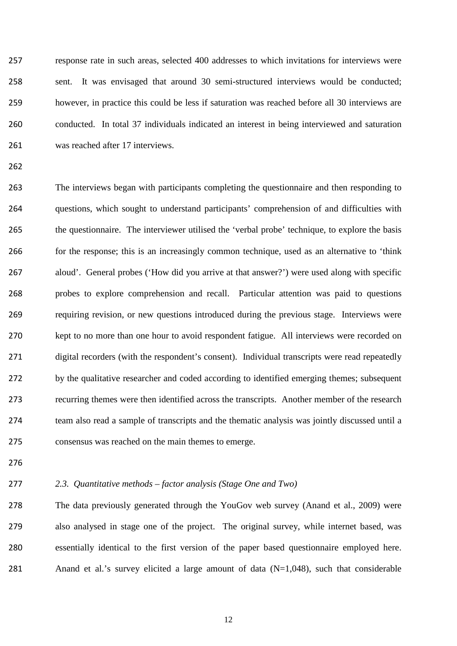response rate in such areas, selected 400 addresses to which invitations for interviews were sent. It was envisaged that around 30 semi-structured interviews would be conducted; however, in practice this could be less if saturation was reached before all 30 interviews are conducted. In total 37 individuals indicated an interest in being interviewed and saturation was reached after 17 interviews.

 The interviews began with participants completing the questionnaire and then responding to questions, which sought to understand participants' comprehension of and difficulties with the questionnaire. The interviewer utilised the 'verbal probe' technique, to explore the basis for the response; this is an increasingly common technique, used as an alternative to 'think aloud'. General probes ('How did you arrive at that answer?') were used along with specific probes to explore comprehension and recall. Particular attention was paid to questions requiring revision, or new questions introduced during the previous stage. Interviews were kept to no more than one hour to avoid respondent fatigue. All interviews were recorded on digital recorders (with the respondent's consent). Individual transcripts were read repeatedly by the qualitative researcher and coded according to identified emerging themes; subsequent recurring themes were then identified across the transcripts. Another member of the research team also read a sample of transcripts and the thematic analysis was jointly discussed until a consensus was reached on the main themes to emerge.

# *2.3. Quantitative methods – factor analysis (Stage One and Two)*

 The data previously generated through the YouGov web survey (Anand et al., 2009) were also analysed in stage one of the project. The original survey, while internet based, was essentially identical to the first version of the paper based questionnaire employed here. 281 Anand et al.'s survey elicited a large amount of data (N=1,048), such that considerable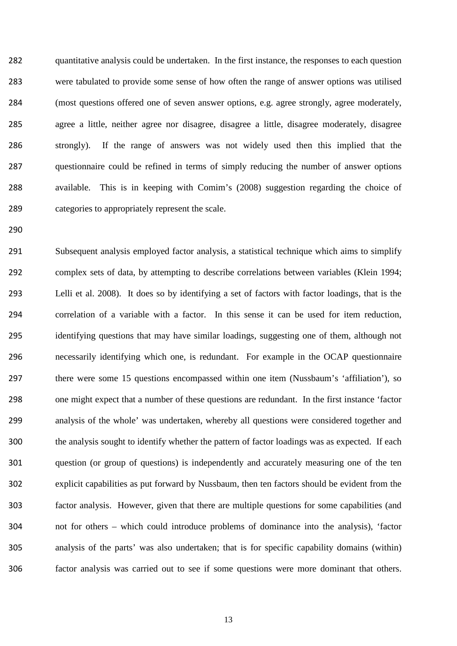quantitative analysis could be undertaken. In the first instance, the responses to each question were tabulated to provide some sense of how often the range of answer options was utilised (most questions offered one of seven answer options, e.g. agree strongly, agree moderately, agree a little, neither agree nor disagree, disagree a little, disagree moderately, disagree strongly). If the range of answers was not widely used then this implied that the questionnaire could be refined in terms of simply reducing the number of answer options available. This is in keeping with Comim's (2008) suggestion regarding the choice of categories to appropriately represent the scale.

 Subsequent analysis employed factor analysis, a statistical technique which aims to simplify complex sets of data, by attempting to describe correlations between variables (Klein 1994; Lelli et al. 2008). It does so by identifying a set of factors with factor loadings, that is the correlation of a variable with a factor. In this sense it can be used for item reduction, identifying questions that may have similar loadings, suggesting one of them, although not necessarily identifying which one, is redundant. For example in the OCAP questionnaire there were some 15 questions encompassed within one item (Nussbaum's 'affiliation'), so one might expect that a number of these questions are redundant. In the first instance 'factor analysis of the whole' was undertaken, whereby all questions were considered together and the analysis sought to identify whether the pattern of factor loadings was as expected. If each question (or group of questions) is independently and accurately measuring one of the ten explicit capabilities as put forward by Nussbaum, then ten factors should be evident from the factor analysis. However, given that there are multiple questions for some capabilities (and not for others – which could introduce problems of dominance into the analysis), 'factor analysis of the parts' was also undertaken; that is for specific capability domains (within) factor analysis was carried out to see if some questions were more dominant that others.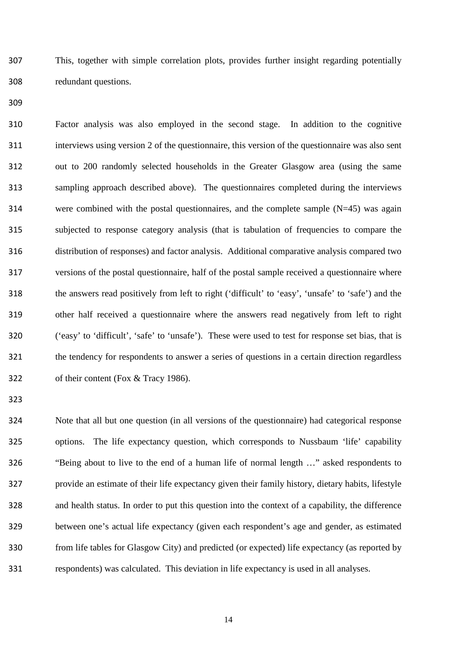This, together with simple correlation plots, provides further insight regarding potentially redundant questions.

 Factor analysis was also employed in the second stage. In addition to the cognitive interviews using version 2 of the questionnaire, this version of the questionnaire was also sent out to 200 randomly selected households in the Greater Glasgow area (using the same sampling approach described above). The questionnaires completed during the interviews were combined with the postal questionnaires, and the complete sample (N=45) was again subjected to response category analysis (that is tabulation of frequencies to compare the distribution of responses) and factor analysis. Additional comparative analysis compared two versions of the postal questionnaire, half of the postal sample received a questionnaire where the answers read positively from left to right ('difficult' to 'easy', 'unsafe' to 'safe') and the other half received a questionnaire where the answers read negatively from left to right ('easy' to 'difficult', 'safe' to 'unsafe'). These were used to test for response set bias, that is the tendency for respondents to answer a series of questions in a certain direction regardless of their content (Fox & Tracy 1986).

 Note that all but one question (in all versions of the questionnaire) had categorical response options. The life expectancy question, which corresponds to Nussbaum 'life' capability "Being about to live to the end of a human life of normal length …" asked respondents to provide an estimate of their life expectancy given their family history, dietary habits, lifestyle and health status. In order to put this question into the context of a capability, the difference between one's actual life expectancy (given each respondent's age and gender, as estimated from life tables for Glasgow City) and predicted (or expected) life expectancy (as reported by respondents) was calculated. This deviation in life expectancy is used in all analyses.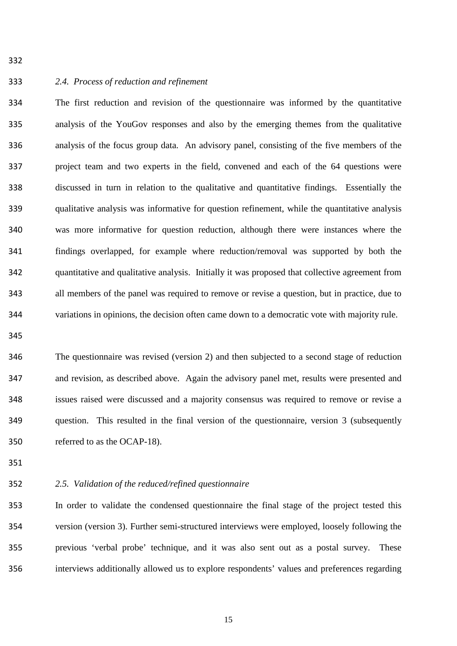# *2.4. Process of reduction and refinement*

 The first reduction and revision of the questionnaire was informed by the quantitative analysis of the YouGov responses and also by the emerging themes from the qualitative analysis of the focus group data. An advisory panel, consisting of the five members of the project team and two experts in the field, convened and each of the 64 questions were discussed in turn in relation to the qualitative and quantitative findings. Essentially the qualitative analysis was informative for question refinement, while the quantitative analysis was more informative for question reduction, although there were instances where the findings overlapped, for example where reduction/removal was supported by both the quantitative and qualitative analysis. Initially it was proposed that collective agreement from all members of the panel was required to remove or revise a question, but in practice, due to variations in opinions, the decision often came down to a democratic vote with majority rule.

 The questionnaire was revised (version 2) and then subjected to a second stage of reduction and revision, as described above. Again the advisory panel met, results were presented and issues raised were discussed and a majority consensus was required to remove or revise a question. This resulted in the final version of the questionnaire, version 3 (subsequently referred to as the OCAP-18).

### *2.5. Validation of the reduced/refined questionnaire*

 In order to validate the condensed questionnaire the final stage of the project tested this version (version 3). Further semi-structured interviews were employed, loosely following the previous 'verbal probe' technique, and it was also sent out as a postal survey. These interviews additionally allowed us to explore respondents' values and preferences regarding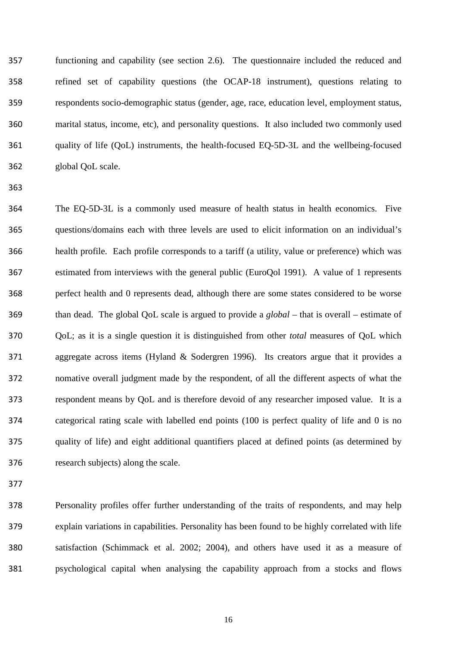functioning and capability (see section 2.6). The questionnaire included the reduced and refined set of capability questions (the OCAP-18 instrument), questions relating to respondents socio-demographic status (gender, age, race, education level, employment status, marital status, income, etc), and personality questions. It also included two commonly used quality of life (QoL) instruments, the health-focused EQ-5D-3L and the wellbeing-focused global QoL scale.

 The EQ-5D-3L is a commonly used measure of health status in health economics. Five questions/domains each with three levels are used to elicit information on an individual's health profile. Each profile corresponds to a tariff (a utility, value or preference) which was estimated from interviews with the general public (EuroQol 1991). A value of 1 represents perfect health and 0 represents dead, although there are some states considered to be worse than dead. The global QoL scale is argued to provide a *global* – that is overall – estimate of QoL; as it is a single question it is distinguished from other *total* measures of QoL which aggregate across items (Hyland & Sodergren 1996). Its creators argue that it provides a nomative overall judgment made by the respondent, of all the different aspects of what the respondent means by QoL and is therefore devoid of any researcher imposed value. It is a categorical rating scale with labelled end points (100 is perfect quality of life and 0 is no quality of life) and eight additional quantifiers placed at defined points (as determined by research subjects) along the scale.

 Personality profiles offer further understanding of the traits of respondents, and may help explain variations in capabilities. Personality has been found to be highly correlated with life satisfaction (Schimmack et al. 2002; 2004), and others have used it as a measure of psychological capital when analysing the capability approach from a stocks and flows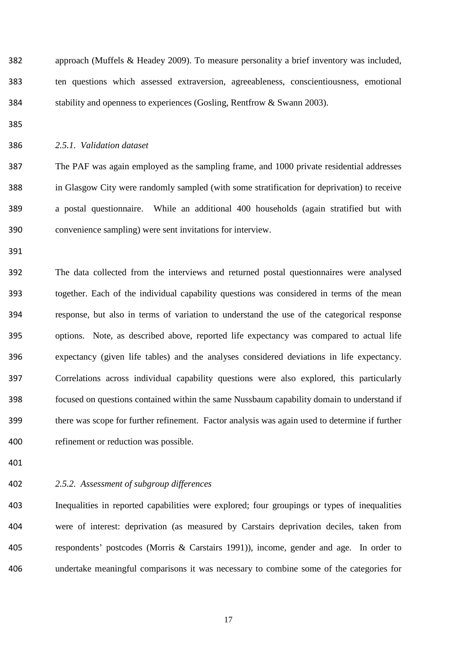| 382 | approach (Muffels & Headey 2009). To measure personality a brief inventory was included,       |
|-----|------------------------------------------------------------------------------------------------|
| 383 | ten questions which assessed extraversion, agreeableness, conscientiousness, emotional         |
| 384 | stability and openness to experiences (Gosling, Rentfrow & Swann 2003).                        |
| 385 |                                                                                                |
| 386 | 2.5.1. Validation dataset                                                                      |
| 387 | The PAF was again employed as the sampling frame, and 1000 private residential addresses       |
| 388 | in Glasgow City were randomly sampled (with some stratification for deprivation) to receive    |
| 389 | a postal questionnaire. While an additional 400 households (again stratified but with          |
| 390 | convenience sampling) were sent invitations for interview.                                     |
| 391 |                                                                                                |
| 392 | The data collected from the interviews and returned postal questionnaires were analysed        |
| 393 | together. Each of the individual capability questions was considered in terms of the mean      |
| 394 | response, but also in terms of variation to understand the use of the categorical response     |
| 395 | options. Note, as described above, reported life expectancy was compared to actual life        |
| 396 | expectancy (given life tables) and the analyses considered deviations in life expectancy.      |
| 397 | Correlations across individual capability questions were also explored, this particularly      |
| 398 | focused on questions contained within the same Nussbaum capability domain to understand if     |
| 399 | there was scope for further refinement. Factor analysis was again used to determine if further |
| 400 | refinement or reduction was possible.                                                          |

- 
- 

# *2.5.2. Assessment of subgroup differences*

 Inequalities in reported capabilities were explored; four groupings or types of inequalities were of interest: deprivation (as measured by Carstairs deprivation deciles, taken from respondents' postcodes (Morris & Carstairs 1991)), income, gender and age. In order to undertake meaningful comparisons it was necessary to combine some of the categories for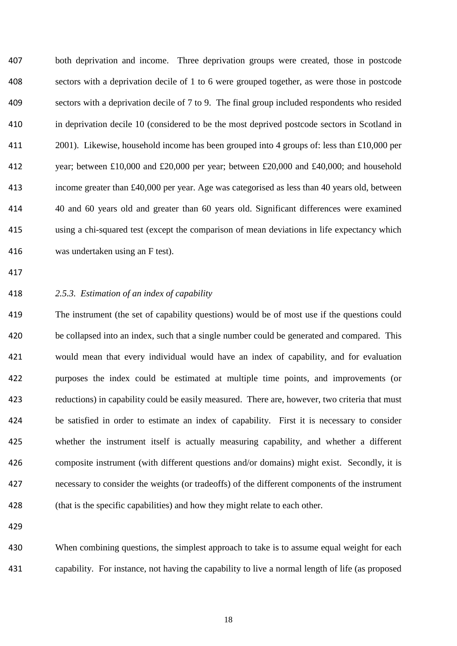both deprivation and income. Three deprivation groups were created, those in postcode sectors with a deprivation decile of 1 to 6 were grouped together, as were those in postcode sectors with a deprivation decile of 7 to 9. The final group included respondents who resided in deprivation decile 10 (considered to be the most deprived postcode sectors in Scotland in 2001). Likewise, household income has been grouped into 4 groups of: less than £10,000 per year; between £10,000 and £20,000 per year; between £20,000 and £40,000; and household income greater than £40,000 per year. Age was categorised as less than 40 years old, between 40 and 60 years old and greater than 60 years old. Significant differences were examined using a chi-squared test (except the comparison of mean deviations in life expectancy which was undertaken using an F test).

### *2.5.3. Estimation of an index of capability*

 The instrument (the set of capability questions) would be of most use if the questions could be collapsed into an index, such that a single number could be generated and compared. This would mean that every individual would have an index of capability, and for evaluation purposes the index could be estimated at multiple time points, and improvements (or reductions) in capability could be easily measured. There are, however, two criteria that must be satisfied in order to estimate an index of capability. First it is necessary to consider whether the instrument itself is actually measuring capability, and whether a different composite instrument (with different questions and/or domains) might exist. Secondly, it is necessary to consider the weights (or tradeoffs) of the different components of the instrument (that is the specific capabilities) and how they might relate to each other.

 When combining questions, the simplest approach to take is to assume equal weight for each capability. For instance, not having the capability to live a normal length of life (as proposed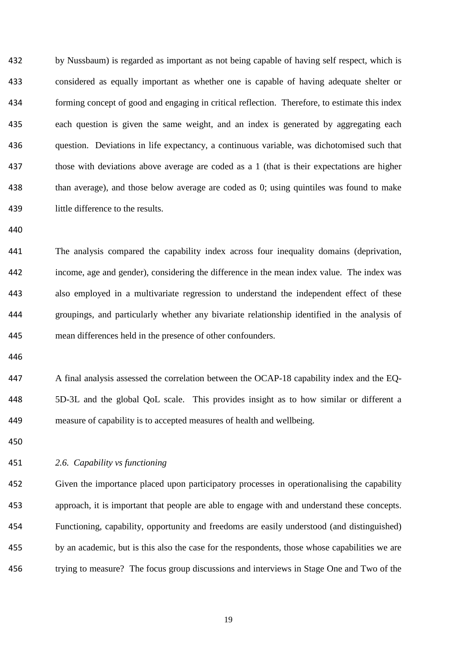| 432 | by Nussbaum) is regarded as important as not being capable of having self respect, which is    |
|-----|------------------------------------------------------------------------------------------------|
| 433 | considered as equally important as whether one is capable of having adequate shelter or        |
| 434 | forming concept of good and engaging in critical reflection. Therefore, to estimate this index |
| 435 | each question is given the same weight, and an index is generated by aggregating each          |
| 436 | question. Deviations in life expectancy, a continuous variable, was dichotomised such that     |
| 437 | those with deviations above average are coded as a 1 (that is their expectations are higher    |
| 438 | than average), and those below average are coded as 0; using quintiles was found to make       |
| 439 | little difference to the results.                                                              |
| 440 |                                                                                                |
| 441 | The analysis compared the capability index across four inequality domains (deprivation,        |
| 442 | income, age and gender), considering the difference in the mean index value. The index was     |
| 443 | also employed in a multivariate regression to understand the independent effect of these       |
| 444 | groupings, and particularly whether any bivariate relationship identified in the analysis of   |
| 445 | mean differences held in the presence of other confounders.                                    |
| 446 |                                                                                                |
| 447 | A final analysis assessed the correlation between the OCAP-18 capability index and the EQ-     |
| 448 | 5D-3L and the global QoL scale. This provides insight as to how similar or different a         |
| 449 | measure of capability is to accepted measures of health and wellbeing.                         |
| 450 |                                                                                                |
| 451 | 2.6. Capability vs functioning                                                                 |
| 452 | Given the importance placed upon participatory processes in operationalising the capability    |
| 453 | approach, it is important that people are able to engage with and understand these concepts.   |
| 454 | Functioning, capability, opportunity and freedoms are easily understood (and distinguished)    |
| 455 | by an academic, but is this also the case for the respondents, those whose capabilities we are |
| 456 | trying to measure? The focus group discussions and interviews in Stage One and Two of the      |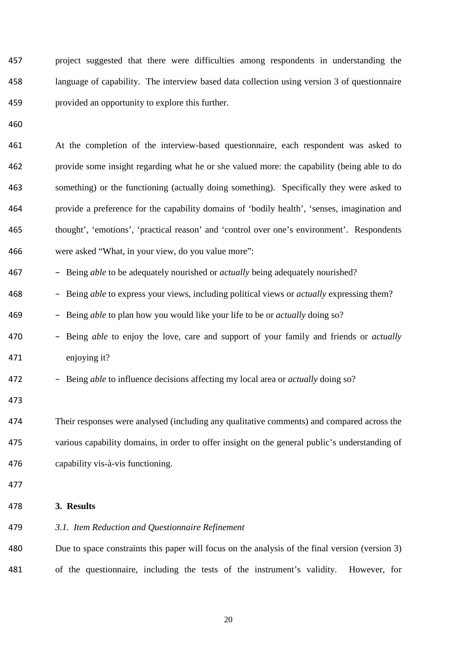project suggested that there were difficulties among respondents in understanding the language of capability. The interview based data collection using version 3 of questionnaire provided an opportunity to explore this further.

 At the completion of the interview-based questionnaire, each respondent was asked to provide some insight regarding what he or she valued more: the capability (being able to do something) or the functioning (actually doing something). Specifically they were asked to provide a preference for the capability domains of 'bodily health', 'senses, imagination and thought', 'emotions', 'practical reason' and 'control over one's environment'. Respondents were asked "What, in your view, do you value more":

− Being *able* to be adequately nourished or *actually* being adequately nourished?

− Being *able* to express your views, including political views or *actually* expressing them?

− Being *able* to plan how you would like your life to be or *actually* doing so?

- − Being *able* to enjoy the love, care and support of your family and friends or *actually* enjoying it?
- − Being *able* to influence decisions affecting my local area or *actually* doing so?
- 

 Their responses were analysed (including any qualitative comments) and compared across the various capability domains, in order to offer insight on the general public's understanding of capability vis-à-vis functioning.

- 
- **3. Results**

# *3.1. Item Reduction and Questionnaire Refinement*

 Due to space constraints this paper will focus on the analysis of the final version (version 3) of the questionnaire, including the tests of the instrument's validity. However, for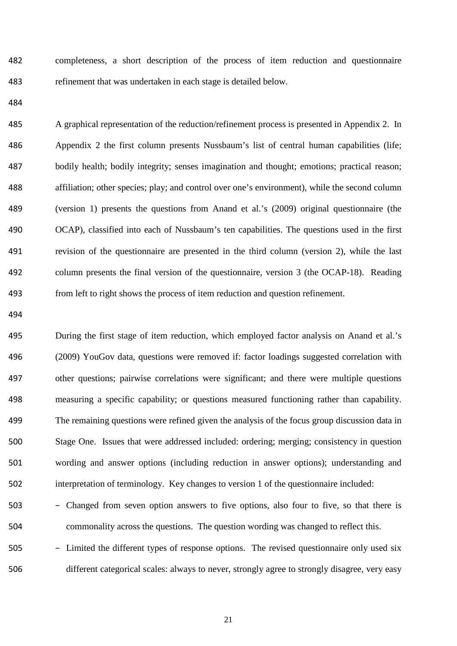completeness, a short description of the process of item reduction and questionnaire refinement that was undertaken in each stage is detailed below.

 A graphical representation of the reduction/refinement process is presented in Appendix 2. In Appendix 2 the first column presents Nussbaum's list of central human capabilities (life; bodily health; bodily integrity; senses imagination and thought; emotions; practical reason; affiliation; other species; play; and control over one's environment), while the second column (version 1) presents the questions from Anand et al.'s (2009) original questionnaire (the OCAP), classified into each of Nussbaum's ten capabilities. The questions used in the first revision of the questionnaire are presented in the third column (version 2), while the last column presents the final version of the questionnaire, version 3 (the OCAP-18). Reading from left to right shows the process of item reduction and question refinement.

 During the first stage of item reduction, which employed factor analysis on Anand et al.'s (2009) YouGov data, questions were removed if: factor loadings suggested correlation with other questions; pairwise correlations were significant; and there were multiple questions measuring a specific capability; or questions measured functioning rather than capability. The remaining questions were refined given the analysis of the focus group discussion data in Stage One. Issues that were addressed included: ordering; merging; consistency in question wording and answer options (including reduction in answer options); understanding and interpretation of terminology. Key changes to version 1 of the questionnaire included:

- − Changed from seven option answers to five options, also four to five, so that there is commonality across the questions. The question wording was changed to reflect this.
- 505 Limited the different types of response options. The revised questionnaire only used six different categorical scales: always to never, strongly agree to strongly disagree, very easy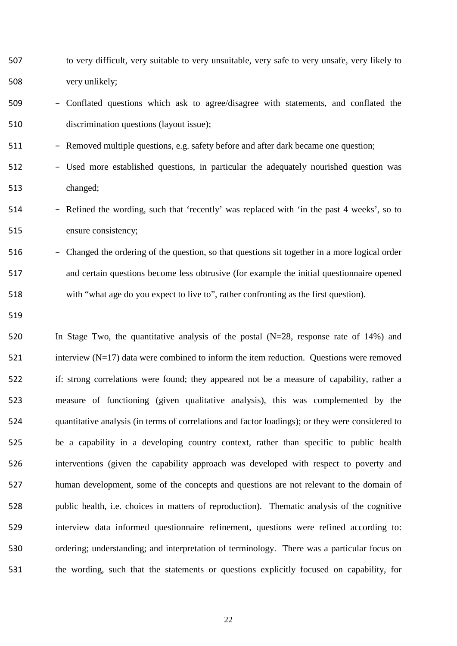| 507 | to very difficult, very suitable to very unsuitable, very safe to very unsafe, very likely to |
|-----|-----------------------------------------------------------------------------------------------|
| 508 | very unlikely;                                                                                |

- − Conflated questions which ask to agree/disagree with statements, and conflated the discrimination questions (layout issue);
- 511 Removed multiple questions, e.g. safety before and after dark became one question;
- − Used more established questions, in particular the adequately nourished question was changed;
- 514 Refined the wording, such that 'recently' was replaced with 'in the past 4 weeks', so to ensure consistency;
- − Changed the ordering of the question, so that questions sit together in a more logical order and certain questions become less obtrusive (for example the initial questionnaire opened with "what age do you expect to live to", rather confronting as the first question).
- 

 In Stage Two, the quantitative analysis of the postal (N=28, response rate of 14%) and 521 interview  $(N=17)$  data were combined to inform the item reduction. Ouestions were removed if: strong correlations were found; they appeared not be a measure of capability, rather a measure of functioning (given qualitative analysis), this was complemented by the quantitative analysis (in terms of correlations and factor loadings); or they were considered to be a capability in a developing country context, rather than specific to public health interventions (given the capability approach was developed with respect to poverty and human development, some of the concepts and questions are not relevant to the domain of public health, i.e. choices in matters of reproduction). Thematic analysis of the cognitive interview data informed questionnaire refinement, questions were refined according to: ordering; understanding; and interpretation of terminology. There was a particular focus on the wording, such that the statements or questions explicitly focused on capability, for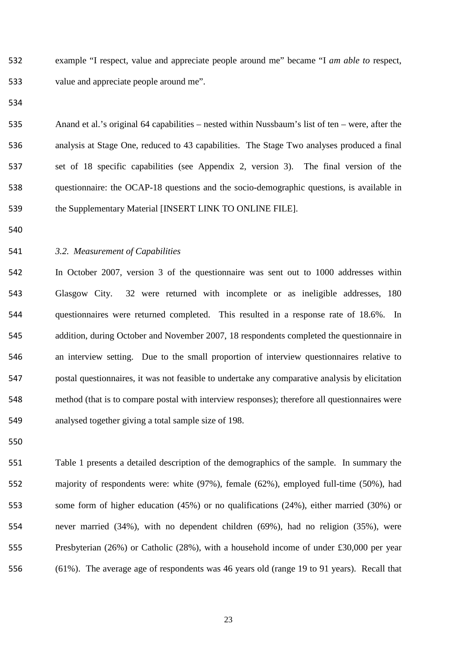example "I respect, value and appreciate people around me" became "I *am able to* respect, value and appreciate people around me".

 Anand et al.'s original 64 capabilities – nested within Nussbaum's list of ten – were, after the analysis at Stage One, reduced to 43 capabilities. The Stage Two analyses produced a final set of 18 specific capabilities (see Appendix 2, version 3). The final version of the questionnaire: the OCAP-18 questions and the socio-demographic questions, is available in the Supplementary Material [INSERT LINK TO ONLINE FILE].

- 
- *3.2. Measurement of Capabilities*

 In October 2007, version 3 of the questionnaire was sent out to 1000 addresses within Glasgow City. 32 were returned with incomplete or as ineligible addresses, 180 questionnaires were returned completed. This resulted in a response rate of 18.6%. In addition, during October and November 2007, 18 respondents completed the questionnaire in an interview setting. Due to the small proportion of interview questionnaires relative to postal questionnaires, it was not feasible to undertake any comparative analysis by elicitation method (that is to compare postal with interview responses); therefore all questionnaires were analysed together giving a total sample size of 198.

 Table 1 presents a detailed description of the demographics of the sample. In summary the majority of respondents were: white (97%), female (62%), employed full-time (50%), had some form of higher education (45%) or no qualifications (24%), either married (30%) or never married (34%), with no dependent children (69%), had no religion (35%), were Presbyterian (26%) or Catholic (28%), with a household income of under £30,000 per year (61%). The average age of respondents was 46 years old (range 19 to 91 years). Recall that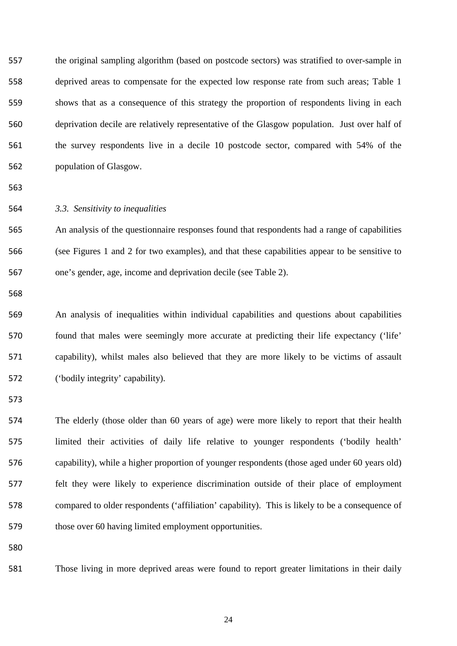the original sampling algorithm (based on postcode sectors) was stratified to over-sample in deprived areas to compensate for the expected low response rate from such areas; Table 1 shows that as a consequence of this strategy the proportion of respondents living in each deprivation decile are relatively representative of the Glasgow population. Just over half of the survey respondents live in a decile 10 postcode sector, compared with 54% of the population of Glasgow.

### *3.3. Sensitivity to inequalities*

 An analysis of the questionnaire responses found that respondents had a range of capabilities (see Figures 1 and 2 for two examples), and that these capabilities appear to be sensitive to one's gender, age, income and deprivation decile (see Table 2).

 An analysis of inequalities within individual capabilities and questions about capabilities found that males were seemingly more accurate at predicting their life expectancy ('life' capability), whilst males also believed that they are more likely to be victims of assault ('bodily integrity' capability).

 The elderly (those older than 60 years of age) were more likely to report that their health limited their activities of daily life relative to younger respondents ('bodily health' capability), while a higher proportion of younger respondents (those aged under 60 years old) felt they were likely to experience discrimination outside of their place of employment compared to older respondents ('affiliation' capability). This is likely to be a consequence of those over 60 having limited employment opportunities.

Those living in more deprived areas were found to report greater limitations in their daily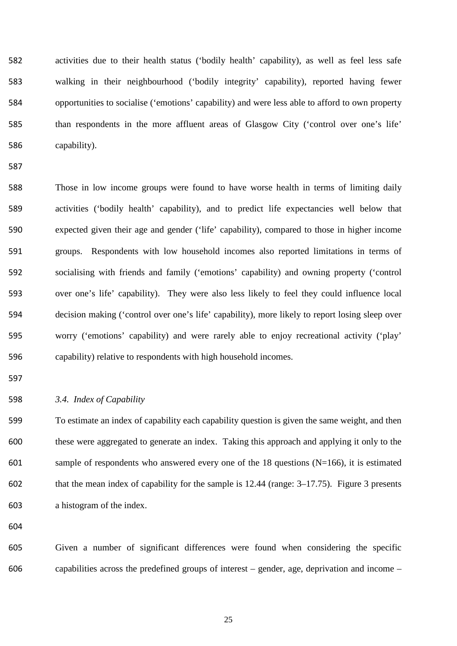activities due to their health status ('bodily health' capability), as well as feel less safe walking in their neighbourhood ('bodily integrity' capability), reported having fewer opportunities to socialise ('emotions' capability) and were less able to afford to own property than respondents in the more affluent areas of Glasgow City ('control over one's life' capability).

 Those in low income groups were found to have worse health in terms of limiting daily activities ('bodily health' capability), and to predict life expectancies well below that expected given their age and gender ('life' capability), compared to those in higher income groups. Respondents with low household incomes also reported limitations in terms of socialising with friends and family ('emotions' capability) and owning property ('control over one's life' capability). They were also less likely to feel they could influence local decision making ('control over one's life' capability), more likely to report losing sleep over worry ('emotions' capability) and were rarely able to enjoy recreational activity ('play' capability) relative to respondents with high household incomes.

# *3.4. Index of Capability*

 To estimate an index of capability each capability question is given the same weight, and then these were aggregated to generate an index. Taking this approach and applying it only to the 601 sample of respondents who answered every one of the 18 questions  $(N=166)$ , it is estimated that the mean index of capability for the sample is 12.44 (range: 3–17.75). Figure 3 presents a histogram of the index.

 Given a number of significant differences were found when considering the specific capabilities across the predefined groups of interest – gender, age, deprivation and income –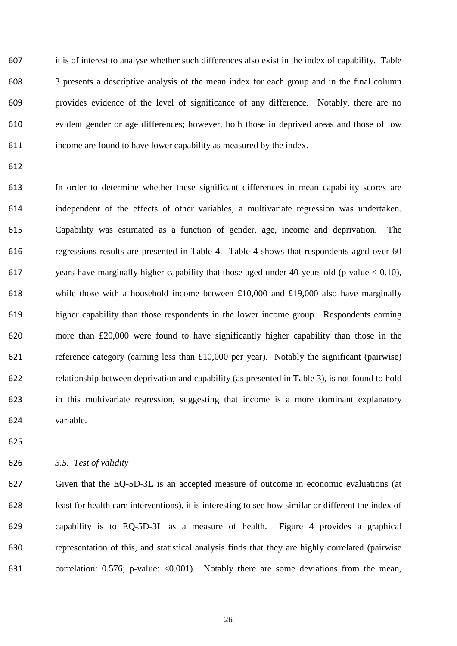it is of interest to analyse whether such differences also exist in the index of capability. Table 3 presents a descriptive analysis of the mean index for each group and in the final column provides evidence of the level of significance of any difference. Notably, there are no evident gender or age differences; however, both those in deprived areas and those of low income are found to have lower capability as measured by the index.

 In order to determine whether these significant differences in mean capability scores are independent of the effects of other variables, a multivariate regression was undertaken. Capability was estimated as a function of gender, age, income and deprivation. The regressions results are presented in Table 4. Table 4 shows that respondents aged over 60 years have marginally higher capability that those aged under 40 years old (p value < 0.10), while those with a household income between £10,000 and £19,000 also have marginally higher capability than those respondents in the lower income group. Respondents earning more than £20,000 were found to have significantly higher capability than those in the reference category (earning less than £10,000 per year). Notably the significant (pairwise) relationship between deprivation and capability (as presented in Table 3), is not found to hold in this multivariate regression, suggesting that income is a more dominant explanatory variable.

# *3.5. Test of validity*

 Given that the EQ-5D-3L is an accepted measure of outcome in economic evaluations (at least for health care interventions), it is interesting to see how similar or different the index of capability is to EQ-5D-3L as a measure of health. Figure 4 provides a graphical representation of this, and statistical analysis finds that they are highly correlated (pairwise correlation: 0.576; p-value: <0.001). Notably there are some deviations from the mean,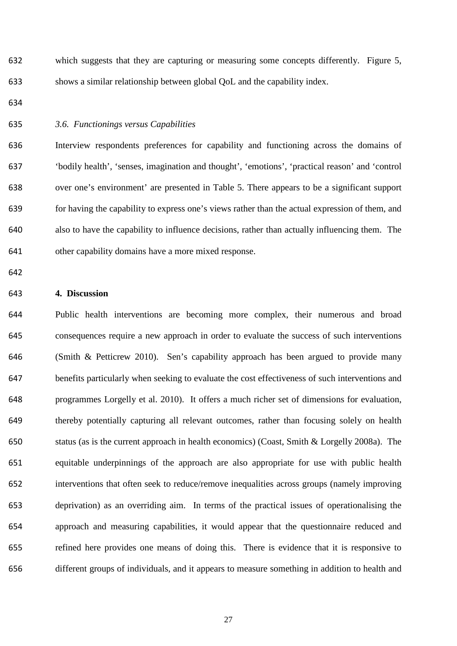which suggests that they are capturing or measuring some concepts differently. Figure 5, shows a similar relationship between global QoL and the capability index.

- 
- *3.6. Functionings versus Capabilities*

 Interview respondents preferences for capability and functioning across the domains of 'bodily health', 'senses, imagination and thought', 'emotions', 'practical reason' and 'control over one's environment' are presented in Table 5. There appears to be a significant support for having the capability to express one's views rather than the actual expression of them, and also to have the capability to influence decisions, rather than actually influencing them. The other capability domains have a more mixed response.

### **4. Discussion**

 Public health interventions are becoming more complex, their numerous and broad consequences require a new approach in order to evaluate the success of such interventions (Smith & Petticrew 2010). Sen's capability approach has been argued to provide many benefits particularly when seeking to evaluate the cost effectiveness of such interventions and programmes Lorgelly et al. 2010). It offers a much richer set of dimensions for evaluation, thereby potentially capturing all relevant outcomes, rather than focusing solely on health status (as is the current approach in health economics) (Coast, Smith & Lorgelly 2008a). The equitable underpinnings of the approach are also appropriate for use with public health interventions that often seek to reduce/remove inequalities across groups (namely improving deprivation) as an overriding aim. In terms of the practical issues of operationalising the approach and measuring capabilities, it would appear that the questionnaire reduced and refined here provides one means of doing this. There is evidence that it is responsive to different groups of individuals, and it appears to measure something in addition to health and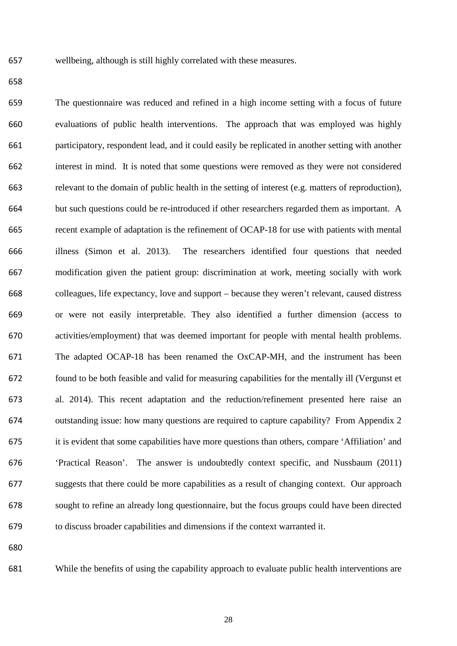wellbeing, although is still highly correlated with these measures.

 The questionnaire was reduced and refined in a high income setting with a focus of future evaluations of public health interventions. The approach that was employed was highly participatory, respondent lead, and it could easily be replicated in another setting with another interest in mind. It is noted that some questions were removed as they were not considered relevant to the domain of public health in the setting of interest (e.g. matters of reproduction), but such questions could be re-introduced if other researchers regarded them as important. A recent example of adaptation is the refinement of OCAP-18 for use with patients with mental illness (Simon et al. 2013). The researchers identified four questions that needed modification given the patient group: discrimination at work, meeting socially with work colleagues, life expectancy, love and support – because they weren't relevant, caused distress or were not easily interpretable. They also identified a further dimension (access to activities/employment) that was deemed important for people with mental health problems. The adapted OCAP-18 has been renamed the OxCAP-MH, and the instrument has been found to be both feasible and valid for measuring capabilities for the mentally ill (Vergunst et al. 2014). This recent adaptation and the reduction/refinement presented here raise an outstanding issue: how many questions are required to capture capability? From Appendix 2 it is evident that some capabilities have more questions than others, compare 'Affiliation' and 'Practical Reason'. The answer is undoubtedly context specific, and Nussbaum (2011) suggests that there could be more capabilities as a result of changing context. Our approach sought to refine an already long questionnaire, but the focus groups could have been directed to discuss broader capabilities and dimensions if the context warranted it.

While the benefits of using the capability approach to evaluate public health interventions are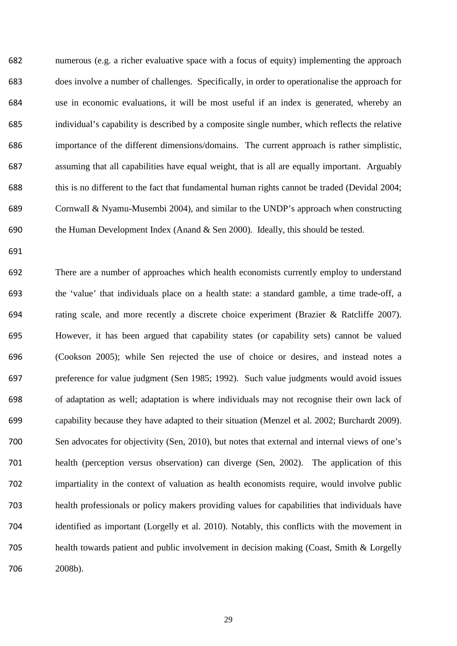numerous (e.g. a richer evaluative space with a focus of equity) implementing the approach does involve a number of challenges. Specifically, in order to operationalise the approach for use in economic evaluations, it will be most useful if an index is generated, whereby an individual's capability is described by a composite single number, which reflects the relative importance of the different dimensions/domains. The current approach is rather simplistic, assuming that all capabilities have equal weight, that is all are equally important. Arguably this is no different to the fact that fundamental human rights cannot be traded (Devidal 2004; Cornwall & Nyamu-Musembi 2004), and similar to the UNDP's approach when constructing the Human Development Index (Anand & Sen 2000). Ideally, this should be tested.

 There are a number of approaches which health economists currently employ to understand the 'value' that individuals place on a health state: a standard gamble, a time trade-off, a rating scale, and more recently a discrete choice experiment (Brazier & Ratcliffe 2007). However, it has been argued that capability states (or capability sets) cannot be valued (Cookson 2005); while Sen rejected the use of choice or desires, and instead notes a preference for value judgment (Sen 1985; 1992). Such value judgments would avoid issues of adaptation as well; adaptation is where individuals may not recognise their own lack of capability because they have adapted to their situation (Menzel et al. 2002; Burchardt 2009). Sen advocates for objectivity (Sen, 2010), but notes that external and internal views of one's health (perception versus observation) can diverge (Sen, 2002). The application of this impartiality in the context of valuation as health economists require, would involve public health professionals or policy makers providing values for capabilities that individuals have identified as important (Lorgelly et al. 2010). Notably, this conflicts with the movement in health towards patient and public involvement in decision making (Coast, Smith & Lorgelly 2008b).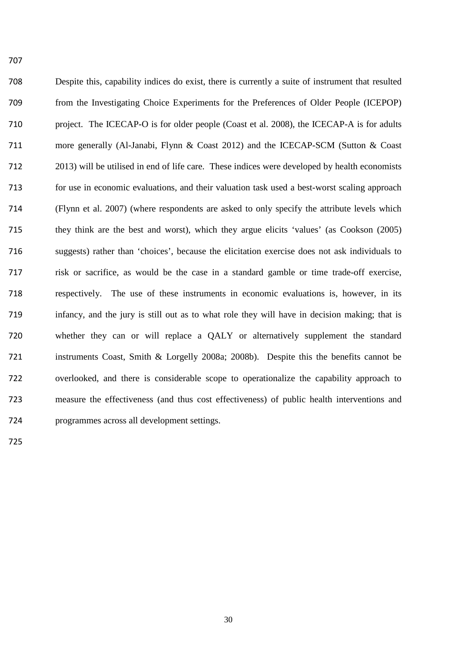Despite this, capability indices do exist, there is currently a suite of instrument that resulted from the Investigating Choice Experiments for the Preferences of Older People (ICEPOP) project. The ICECAP-O is for older people (Coast et al. 2008), the ICECAP-A is for adults more generally (Al-Janabi, Flynn & Coast 2012) and the ICECAP-SCM (Sutton & Coast 2013) will be utilised in end of life care. These indices were developed by health economists for use in economic evaluations, and their valuation task used a best-worst scaling approach (Flynn et al. 2007) (where respondents are asked to only specify the attribute levels which they think are the best and worst), which they argue elicits 'values' (as Cookson (2005) suggests) rather than 'choices', because the elicitation exercise does not ask individuals to risk or sacrifice, as would be the case in a standard gamble or time trade-off exercise, respectively. The use of these instruments in economic evaluations is, however, in its infancy, and the jury is still out as to what role they will have in decision making; that is whether they can or will replace a QALY or alternatively supplement the standard instruments Coast, Smith & Lorgelly 2008a; 2008b). Despite this the benefits cannot be overlooked, and there is considerable scope to operationalize the capability approach to measure the effectiveness (and thus cost effectiveness) of public health interventions and programmes across all development settings.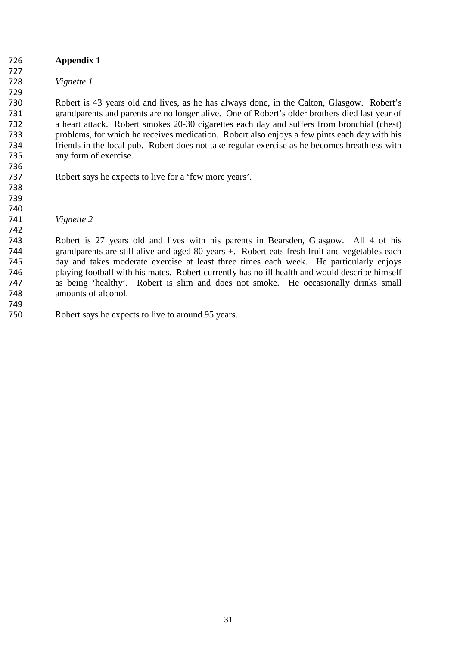- **Appendix 1**
- *Vignette 1*

 

 Robert is 43 years old and lives, as he has always done, in the Calton, Glasgow. Robert's grandparents and parents are no longer alive. One of Robert's older brothers died last year of a heart attack. Robert smokes 20-30 cigarettes each day and suffers from bronchial (chest) problems, for which he receives medication. Robert also enjoys a few pints each day with his friends in the local pub. Robert does not take regular exercise as he becomes breathless with any form of exercise.

- Robert says he expects to live for a 'few more years'.
- *Vignette 2*

 Robert is 27 years old and lives with his parents in Bearsden, Glasgow. All 4 of his grandparents are still alive and aged 80 years +. Robert eats fresh fruit and vegetables each day and takes moderate exercise at least three times each week. He particularly enjoys playing football with his mates. Robert currently has no ill health and would describe himself as being 'healthy'. Robert is slim and does not smoke. He occasionally drinks small amounts of alcohol.

Robert says he expects to live to around 95 years.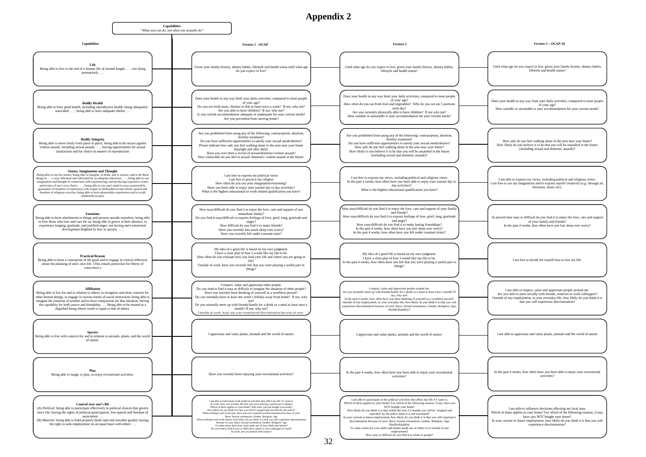# **Appendix 2**

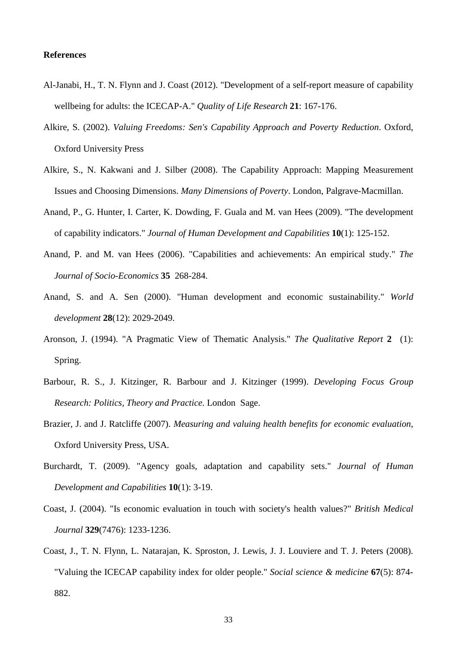# **References**

- Al-Janabi, H., T. N. Flynn and J. Coast (2012). "Development of a self-report measure of capability wellbeing for adults: the ICECAP-A." *Quality of Life Research* **21**: 167-176.
- Alkire, S. (2002). *Valuing Freedoms: Sen's Capability Approach and Poverty Reduction*. Oxford, Oxford University Press
- Alkire, S., N. Kakwani and J. Silber (2008). The Capability Approach: Mapping Measurement Issues and Choosing Dimensions. *Many Dimensions of Poverty*. London, Palgrave-Macmillan.
- Anand, P., G. Hunter, I. Carter, K. Dowding, F. Guala and M. van Hees (2009). "The development of capability indicators." *Journal of Human Development and Capabilities* **10**(1): 125-152.
- Anand, P. and M. van Hees (2006). "Capabilities and achievements: An empirical study." *The Journal of Socio-Economics* **35** 268-284.
- Anand, S. and A. Sen (2000). "Human development and economic sustainability." *World development* **28**(12): 2029-2049.
- Aronson, J. (1994). "A Pragmatic View of Thematic Analysis." *The Qualitative Report* **2** (1): Spring.
- Barbour, R. S., J. Kitzinger, R. Barbour and J. Kitzinger (1999). *Developing Focus Group Research: Politics, Theory and Practice*. London Sage.
- Brazier, J. and J. Ratcliffe (2007). *Measuring and valuing health benefits for economic evaluation*, Oxford University Press, USA.
- Burchardt, T. (2009). "Agency goals, adaptation and capability sets." *Journal of Human Development and Capabilities* **10**(1): 3-19.
- Coast, J. (2004). "Is economic evaluation in touch with society's health values?" *British Medical Journal* **329**(7476): 1233-1236.
- Coast, J., T. N. Flynn, L. Natarajan, K. Sproston, J. Lewis, J. J. Louviere and T. J. Peters (2008). "Valuing the ICECAP capability index for older people." *Social science & medicine* **67**(5): 874- 882.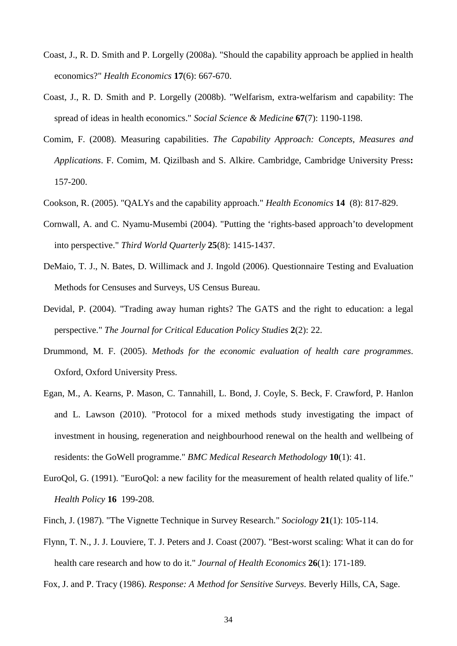- Coast, J., R. D. Smith and P. Lorgelly (2008a). "Should the capability approach be applied in health economics?" *Health Economics* **17**(6): 667-670.
- Coast, J., R. D. Smith and P. Lorgelly (2008b). "Welfarism, extra-welfarism and capability: The spread of ideas in health economics." *Social Science & Medicine* **67**(7): 1190-1198.
- Comim, F. (2008). Measuring capabilities. *The Capability Approach: Concepts, Measures and Applications*. F. Comim, M. Qizilbash and S. Alkire. Cambridge, Cambridge University Press**:**  157-200.
- Cookson, R. (2005). "QALYs and the capability approach." *Health Economics* **14** (8): 817-829.
- Cornwall, A. and C. Nyamu-Musembi (2004). "Putting the 'rights-based approach'to development into perspective." *Third World Quarterly* **25**(8): 1415-1437.
- DeMaio, T. J., N. Bates, D. Willimack and J. Ingold (2006). Questionnaire Testing and Evaluation Methods for Censuses and Surveys, US Census Bureau.
- Devidal, P. (2004). "Trading away human rights? The GATS and the right to education: a legal perspective." *The Journal for Critical Education Policy Studies* **2**(2): 22.
- Drummond, M. F. (2005). *Methods for the economic evaluation of health care programmes*. Oxford, Oxford University Press.
- Egan, M., A. Kearns, P. Mason, C. Tannahill, L. Bond, J. Coyle, S. Beck, F. Crawford, P. Hanlon and L. Lawson (2010). "Protocol for a mixed methods study investigating the impact of investment in housing, regeneration and neighbourhood renewal on the health and wellbeing of residents: the GoWell programme." *BMC Medical Research Methodology* **10**(1): 41.
- EuroQol, G. (1991). "EuroQol: a new facility for the measurement of health related quality of life." *Health Policy* **16** 199-208.
- Finch, J. (1987). "The Vignette Technique in Survey Research." *Sociology* **21**(1): 105-114.
- Flynn, T. N., J. J. Louviere, T. J. Peters and J. Coast (2007). "Best-worst scaling: What it can do for health care research and how to do it." *Journal of Health Economics* **26**(1): 171-189.

Fox, J. and P. Tracy (1986). *Response: A Method for Sensitive Surveys*. Beverly Hills, CA, Sage.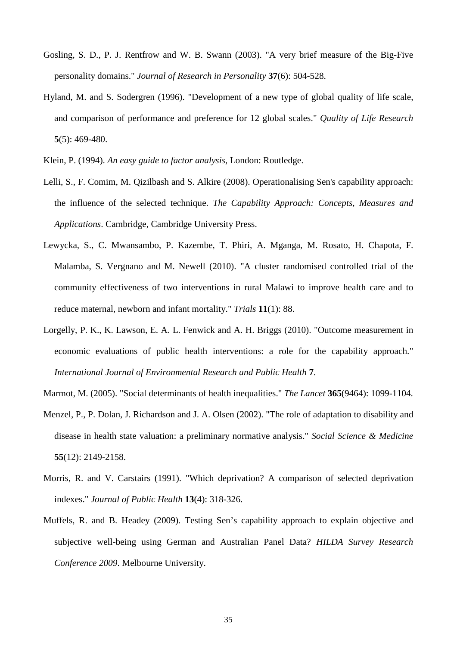- Gosling, S. D., P. J. Rentfrow and W. B. Swann (2003). "A very brief measure of the Big-Five personality domains." *Journal of Research in Personality* **37**(6): 504-528.
- Hyland, M. and S. Sodergren (1996). "Development of a new type of global quality of life scale, and comparison of performance and preference for 12 global scales." *Quality of Life Research* **5**(5): 469-480.
- Klein, P. (1994). *An easy guide to factor analysis*, London: Routledge.
- Lelli, S., F. Comim, M. Qizilbash and S. Alkire (2008). Operationalising Sen's capability approach: the influence of the selected technique. *The Capability Approach: Concepts, Measures and Applications*. Cambridge, Cambridge University Press.
- Lewycka, S., C. Mwansambo, P. Kazembe, T. Phiri, A. Mganga, M. Rosato, H. Chapota, F. Malamba, S. Vergnano and M. Newell (2010). "A cluster randomised controlled trial of the community effectiveness of two interventions in rural Malawi to improve health care and to reduce maternal, newborn and infant mortality." *Trials* **11**(1): 88.
- Lorgelly, P. K., K. Lawson, E. A. L. Fenwick and A. H. Briggs (2010). "Outcome measurement in economic evaluations of public health interventions: a role for the capability approach." *International Journal of Environmental Research and Public Health* **7**.

Marmot, M. (2005). "Social determinants of health inequalities." *The Lancet* **365**(9464): 1099-1104.

- Menzel, P., P. Dolan, J. Richardson and J. A. Olsen (2002). "The role of adaptation to disability and disease in health state valuation: a preliminary normative analysis." *Social Science & Medicine* **55**(12): 2149-2158.
- Morris, R. and V. Carstairs (1991). "Which deprivation? A comparison of selected deprivation indexes." *Journal of Public Health* **13**(4): 318-326.
- Muffels, R. and B. Headey (2009). Testing Sen's capability approach to explain objective and subjective well-being using German and Australian Panel Data? *HILDA Survey Research Conference 2009*. Melbourne University.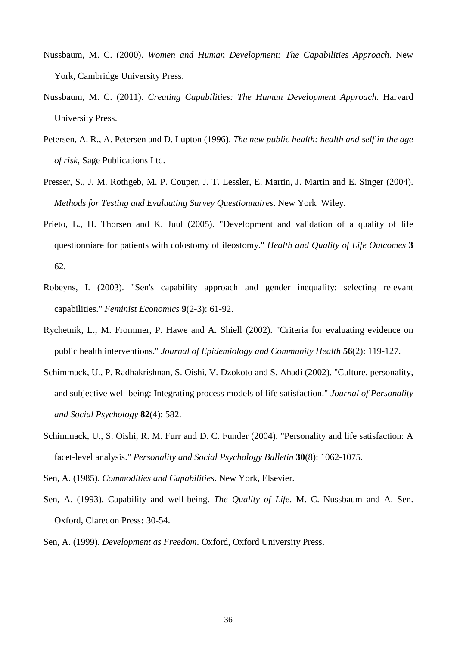- Nussbaum, M. C. (2000). *Women and Human Development: The Capabilities Approach*. New York, Cambridge University Press.
- Nussbaum, M. C. (2011). *Creating Capabilities: The Human Development Approach*. Harvard University Press.
- Petersen, A. R., A. Petersen and D. Lupton (1996). *The new public health: health and self in the age of risk*, Sage Publications Ltd.
- Presser, S., J. M. Rothgeb, M. P. Couper, J. T. Lessler, E. Martin, J. Martin and E. Singer (2004). *Methods for Testing and Evaluating Survey Questionnaires*. New York Wiley.
- Prieto, L., H. Thorsen and K. Juul (2005). "Development and validation of a quality of life questionniare for patients with colostomy of ileostomy." *Health and Quality of Life Outcomes* **3**  62.
- Robeyns, I. (2003). "Sen's capability approach and gender inequality: selecting relevant capabilities." *Feminist Economics* **9**(2-3): 61-92.
- Rychetnik, L., M. Frommer, P. Hawe and A. Shiell (2002). "Criteria for evaluating evidence on public health interventions." *Journal of Epidemiology and Community Health* **56**(2): 119-127.
- Schimmack, U., P. Radhakrishnan, S. Oishi, V. Dzokoto and S. Ahadi (2002). "Culture, personality, and subjective well-being: Integrating process models of life satisfaction." *Journal of Personality and Social Psychology* **82**(4): 582.
- Schimmack, U., S. Oishi, R. M. Furr and D. C. Funder (2004). "Personality and life satisfaction: A facet-level analysis." *Personality and Social Psychology Bulletin* **30**(8): 1062-1075.

Sen, A. (1985). *Commodities and Capabilities*. New York, Elsevier.

Sen, A. (1993). Capability and well-being. *The Quality of Life*. M. C. Nussbaum and A. Sen. Oxford, Claredon Press**:** 30-54.

Sen, A. (1999). *Development as Freedom*. Oxford, Oxford University Press.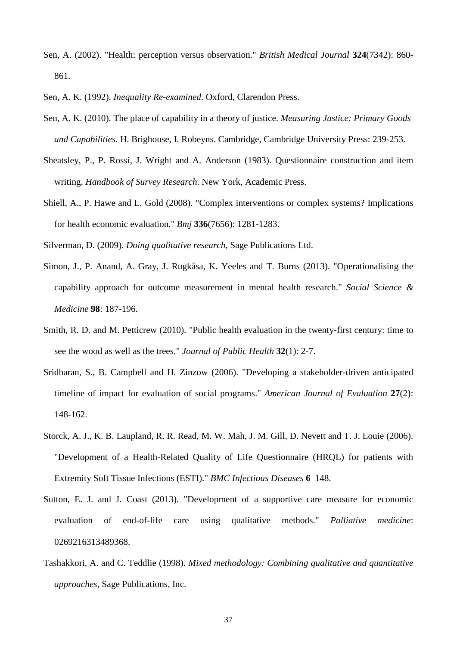- Sen, A. (2002). "Health: perception versus observation." *British Medical Journal* **324**(7342): 860- 861.
- Sen, A. K. (1992). *Inequality Re-examined*. Oxford, Clarendon Press.
- Sen, A. K. (2010). The place of capability in a theory of justice. *Measuring Justice: Primary Goods and Capabilities.* H. Brighouse, I. Robeyns. Cambridge, Cambridge University Press: 239-253.
- Sheatsley, P., P. Rossi, J. Wright and A. Anderson (1983). Questionnaire construction and item writing. *Handbook of Survey Research*. New York, Academic Press.
- Shiell, A., P. Hawe and L. Gold (2008). "Complex interventions or complex systems? Implications for health economic evaluation." *Bmj* **336**(7656): 1281-1283.

Silverman, D. (2009). *Doing qualitative research*, Sage Publications Ltd.

- Simon, J., P. Anand, A. Gray, J. Rugkåsa, K. Yeeles and T. Burns (2013). "Operationalising the capability approach for outcome measurement in mental health research." *Social Science & Medicine* **98**: 187-196.
- Smith, R. D. and M. Petticrew (2010). "Public health evaluation in the twenty-first century: time to see the wood as well as the trees." *Journal of Public Health* **32**(1): 2-7.
- Sridharan, S., B. Campbell and H. Zinzow (2006). "Developing a stakeholder-driven anticipated timeline of impact for evaluation of social programs." *American Journal of Evaluation* **27**(2): 148-162.
- Storck, A. J., K. B. Laupland, R. R. Read, M. W. Mah, J. M. Gill, D. Nevett and T. J. Louie (2006). "Development of a Health-Related Quality of Life Questionnaire (HRQL) for patients with Extremity Soft Tissue Infections (ESTI)." *BMC Infectious Diseases* **6** 148.
- Sutton, E. J. and J. Coast (2013). "Development of a supportive care measure for economic evaluation of end-of-life care using qualitative methods." *Palliative medicine*: 0269216313489368.
- Tashakkori, A. and C. Teddlie (1998). *Mixed methodology: Combining qualitative and quantitative approaches*, Sage Publications, Inc.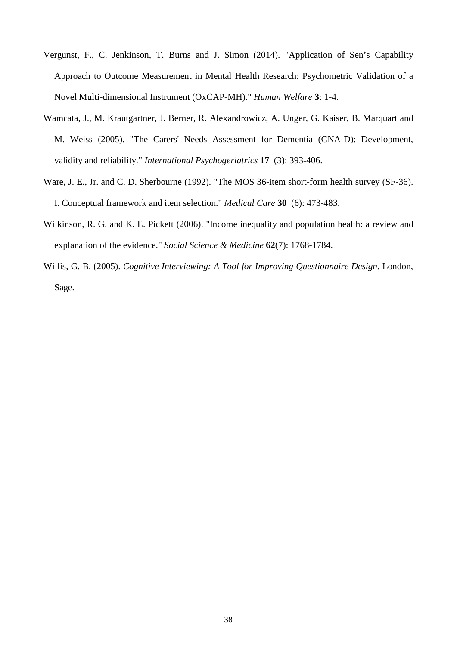- Vergunst, F., C. Jenkinson, T. Burns and J. Simon (2014). "Application of Sen's Capability Approach to Outcome Measurement in Mental Health Research: Psychometric Validation of a Novel Multi-dimensional Instrument (OxCAP-MH)." *Human Welfare* **3**: 1-4.
- Wamcata, J., M. Krautgartner, J. Berner, R. Alexandrowicz, A. Unger, G. Kaiser, B. Marquart and M. Weiss (2005). "The Carers' Needs Assessment for Dementia (CNA-D): Development, validity and reliability." *International Psychogeriatrics* **17** (3): 393-406.
- Ware, J. E., Jr. and C. D. Sherbourne (1992). "The MOS 36-item short-form health survey (SF-36). I. Conceptual framework and item selection." *Medical Care* **30** (6): 473-483.
- Wilkinson, R. G. and K. E. Pickett (2006). "Income inequality and population health: a review and explanation of the evidence." *Social Science & Medicine* **62**(7): 1768-1784.
- Willis, G. B. (2005). *Cognitive Interviewing: A Tool for Improving Questionnaire Design*. London, Sage.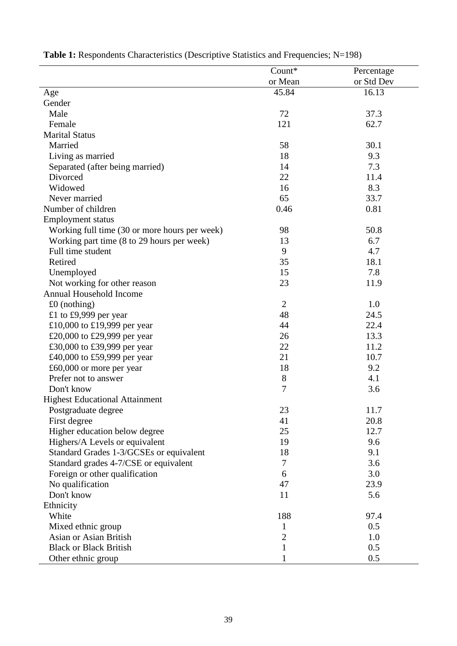|                                               | Count*         | Percentage |
|-----------------------------------------------|----------------|------------|
|                                               | or Mean        | or Std Dev |
| Age                                           | 45.84          | 16.13      |
| Gender                                        |                |            |
| Male                                          | 72             | 37.3       |
| Female                                        | 121            | 62.7       |
| <b>Marital Status</b>                         |                |            |
| Married                                       | 58             | 30.1       |
| Living as married                             | 18             | 9.3        |
| Separated (after being married)               | 14             | 7.3        |
| Divorced                                      | 22             | 11.4       |
| Widowed                                       | 16             | 8.3        |
| Never married                                 | 65             | 33.7       |
| Number of children                            | 0.46           | 0.81       |
| <b>Employment status</b>                      |                |            |
| Working full time (30 or more hours per week) | 98             | 50.8       |
| Working part time (8 to 29 hours per week)    | 13             | 6.7        |
| Full time student                             | 9              | 4.7        |
| Retired                                       | 35             | 18.1       |
| Unemployed                                    | 15             | 7.8        |
| Not working for other reason                  | 23             | 11.9       |
| Annual Household Income                       |                |            |
| $£0$ (nothing)                                | $\overline{2}$ | 1.0        |
| £1 to £9,999 per year                         | 48             | 24.5       |
| £10,000 to £19,999 per year                   | 44             | 22.4       |
| £20,000 to £29,999 per year                   | 26             | 13.3       |
| £30,000 to £39,999 per year                   | 22             | 11.2       |
| £40,000 to £59,999 per year                   | 21             | 10.7       |
| £60,000 or more per year                      | 18             | 9.2        |
| Prefer not to answer                          | $\,8\,$        | 4.1        |
| Don't know                                    | $\overline{7}$ | 3.6        |
| <b>Highest Educational Attainment</b>         |                |            |
| Postgraduate degree                           | 23             | 11.7       |
| First degree                                  | 41             | 20.8       |
| Higher education below degree                 | 25             | 12.7       |
| Highers/A Levels or equivalent                | 19             | 9.6        |
| Standard Grades 1-3/GCSEs or equivalent       | 18             | 9.1        |
| Standard grades 4-7/CSE or equivalent         | 7              | 3.6        |
| Foreign or other qualification                | 6              | 3.0        |
| No qualification                              | 47             | 23.9       |
| Don't know                                    | 11             | 5.6        |
| Ethnicity                                     |                |            |
| White                                         | 188            | 97.4       |
| Mixed ethnic group                            | $\mathbf{1}$   | 0.5        |
| Asian or Asian British                        | $\overline{c}$ | 1.0        |
| <b>Black or Black British</b>                 | $\mathbf{1}$   | 0.5        |
| Other ethnic group                            | $\mathbf{1}$   | 0.5        |

| <b>Table 1:</b> Respondents Characteristics (Descriptive Statistics and Frequencies; $N=198$ ) |  |  |  |  |  |
|------------------------------------------------------------------------------------------------|--|--|--|--|--|
|------------------------------------------------------------------------------------------------|--|--|--|--|--|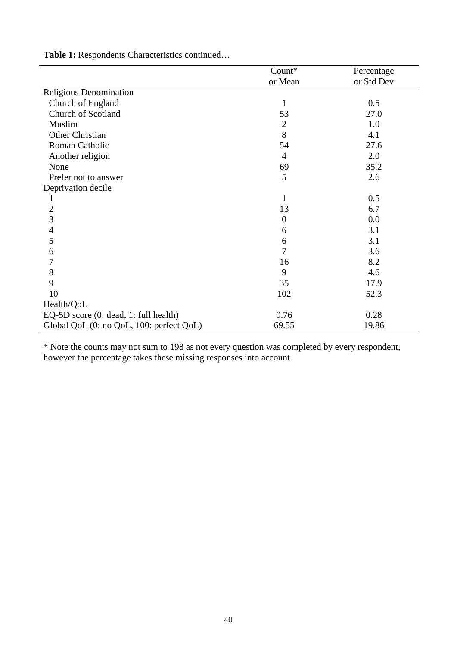|                                          | Count*           | Percentage |
|------------------------------------------|------------------|------------|
|                                          | or Mean          | or Std Dev |
| Religious Denomination                   |                  |            |
| Church of England                        | $\mathbf{1}$     | 0.5        |
| <b>Church of Scotland</b>                | 53               | 27.0       |
| Muslim                                   | $\overline{2}$   | 1.0        |
| Other Christian                          | 8                | 4.1        |
| Roman Catholic                           | 54               | 27.6       |
| Another religion                         | $\overline{4}$   | 2.0        |
| None                                     | 69               | 35.2       |
| Prefer not to answer                     | 5                | 2.6        |
| Deprivation decile                       |                  |            |
| 1                                        | 1                | 0.5        |
| $\overline{c}$                           | 13               | 6.7        |
| 3                                        | $\boldsymbol{0}$ | 0.0        |
| $\overline{4}$                           | 6                | 3.1        |
| 5                                        | 6                | 3.1        |
| 6                                        | 7                | 3.6        |
| 7                                        | 16               | 8.2        |
| 8                                        | 9                | 4.6        |
| 9                                        | 35               | 17.9       |
| 10                                       | 102              | 52.3       |
| Health/QoL                               |                  |            |
| EQ-5D score (0: dead, 1: full health)    | 0.76             | 0.28       |
| Global QoL (0: no QoL, 100: perfect QoL) | 69.55            | 19.86      |

**Table 1:** Respondents Characteristics continued…

\* Note the counts may not sum to 198 as not every question was completed by every respondent, however the percentage takes these missing responses into account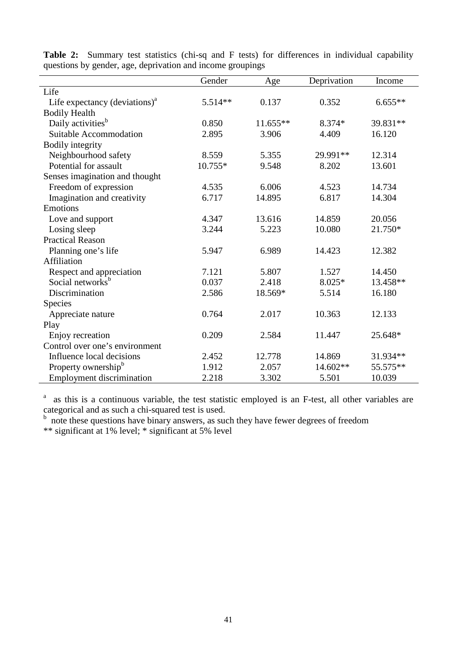|                                  | Gender    | Age      | Deprivation | Income    |
|----------------------------------|-----------|----------|-------------|-----------|
| Life                             |           |          |             |           |
| Life expectancy $(deviations)^a$ | $5.514**$ | 0.137    | 0.352       | $6.655**$ |
| <b>Bodily Health</b>             |           |          |             |           |
| Daily activities <sup>b</sup>    | 0.850     | 11.655** | 8.374*      | 39.831**  |
| Suitable Accommodation           | 2.895     | 3.906    | 4.409       | 16.120    |
| <b>Bodily integrity</b>          |           |          |             |           |
| Neighbourhood safety             | 8.559     | 5.355    | 29.991**    | 12.314    |
| Potential for assault            | $10.755*$ | 9.548    | 8.202       | 13.601    |
| Senses imagination and thought   |           |          |             |           |
| Freedom of expression            | 4.535     | 6.006    | 4.523       | 14.734    |
| Imagination and creativity       | 6.717     | 14.895   | 6.817       | 14.304    |
| Emotions                         |           |          |             |           |
| Love and support                 | 4.347     | 13.616   | 14.859      | 20.056    |
| Losing sleep                     | 3.244     | 5.223    | 10.080      | 21.750*   |
| <b>Practical Reason</b>          |           |          |             |           |
| Planning one's life              | 5.947     | 6.989    | 14.423      | 12.382    |
| <b>Affiliation</b>               |           |          |             |           |
| Respect and appreciation         | 7.121     | 5.807    | 1.527       | 14.450    |
| Social networks <sup>b</sup>     | 0.037     | 2.418    | $8.025*$    | 13.458**  |
| Discrimination                   | 2.586     | 18.569*  | 5.514       | 16.180    |
| Species                          |           |          |             |           |
| Appreciate nature                | 0.764     | 2.017    | 10.363      | 12.133    |
| Play                             |           |          |             |           |
| Enjoy recreation                 | 0.209     | 2.584    | 11.447      | 25.648*   |
| Control over one's environment   |           |          |             |           |
| Influence local decisions        | 2.452     | 12.778   | 14.869      | 31.934**  |
| Property ownership <sup>b</sup>  | 1.912     | 2.057    | 14.602**    | 55.575**  |
| <b>Employment discrimination</b> | 2.218     | 3.302    | 5.501       | 10.039    |

**Table 2:** Summary test statistics (chi-sq and F tests) for differences in individual capability questions by gender, age, deprivation and income groupings

<sup>a</sup> as this is a continuous variable, the test statistic employed is an F-test, all other variables are

categorical and as such a chi-squared test is used. b note these questions have binary answers, as such they have fewer degrees of freedom

\*\* significant at 1% level; \* significant at 5% level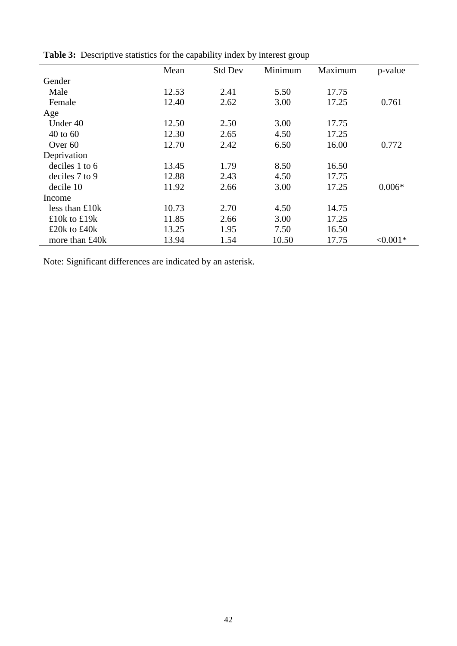|                    | Mean  | <b>Std Dev</b> | Minimum | Maximum | p-value    |
|--------------------|-------|----------------|---------|---------|------------|
| Gender             |       |                |         |         |            |
| Male               | 12.53 | 2.41           | 5.50    | 17.75   |            |
| Female             | 12.40 | 2.62           | 3.00    | 17.25   | 0.761      |
| Age                |       |                |         |         |            |
| Under 40           | 12.50 | 2.50           | 3.00    | 17.75   |            |
| $40$ to $60$       | 12.30 | 2.65           | 4.50    | 17.25   |            |
| Over <sub>60</sub> | 12.70 | 2.42           | 6.50    | 16.00   | 0.772      |
| Deprivation        |       |                |         |         |            |
| deciles 1 to 6     | 13.45 | 1.79           | 8.50    | 16.50   |            |
| deciles 7 to 9     | 12.88 | 2.43           | 4.50    | 17.75   |            |
| decile 10          | 11.92 | 2.66           | 3.00    | 17.25   | $0.006*$   |
| Income             |       |                |         |         |            |
| less than $£10k$   | 10.73 | 2.70           | 4.50    | 14.75   |            |
| £10k to £19k       | 11.85 | 2.66           | 3.00    | 17.25   |            |
| £20 $k$ to £40 $k$ | 13.25 | 1.95           | 7.50    | 16.50   |            |
| more than £40k     | 13.94 | 1.54           | 10.50   | 17.75   | $< 0.001*$ |

**Table 3:** Descriptive statistics for the capability index by interest group

Note: Significant differences are indicated by an asterisk.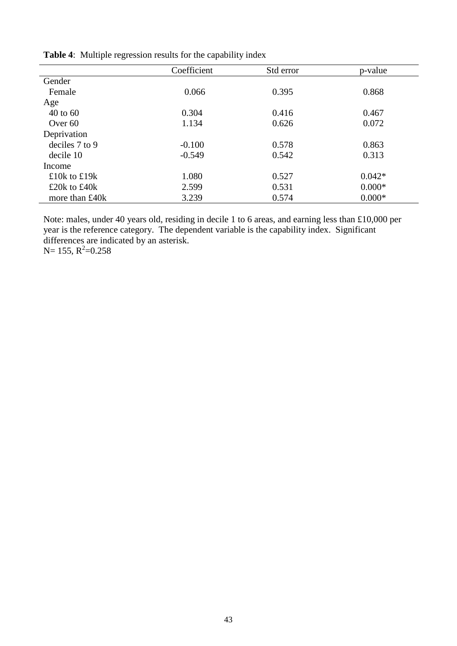|                    | Coefficient | Std error | p-value  |
|--------------------|-------------|-----------|----------|
| Gender             |             |           |          |
| Female             | 0.066       | 0.395     | 0.868    |
| Age                |             |           |          |
| 40 to 60           | 0.304       | 0.416     | 0.467    |
| Over 60            | 1.134       | 0.626     | 0.072    |
| Deprivation        |             |           |          |
| deciles 7 to 9     | $-0.100$    | 0.578     | 0.863    |
| decile 10          | $-0.549$    | 0.542     | 0.313    |
| Income             |             |           |          |
| £10 $k$ to £19 $k$ | 1.080       | 0.527     | $0.042*$ |
| £20 $k$ to £40 $k$ | 2.599       | 0.531     | $0.000*$ |
| more than £40k     | 3.239       | 0.574     | $0.000*$ |

**Table 4**: Multiple regression results for the capability index

Note: males, under 40 years old, residing in decile 1 to 6 areas, and earning less than £10,000 per year is the reference category. The dependent variable is the capability index. Significant differences are indicated by an asterisk.  $N= 155$ ,  $R^2=0.258$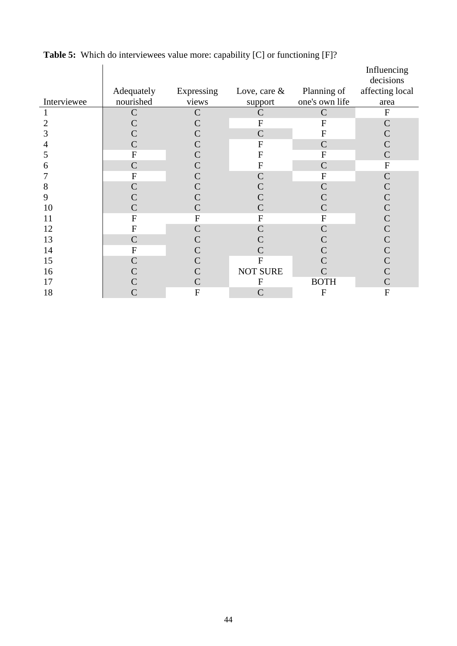| Interviewee | Adequately<br>nourished | Expressing<br>views | Love, care $&$<br>support | Planning of<br>one's own life | Influencing<br>decisions<br>affecting local<br>area |
|-------------|-------------------------|---------------------|---------------------------|-------------------------------|-----------------------------------------------------|
|             | C                       | C                   | $\mathsf{C}$              | $\mathcal{C}$                 | ${\bf F}$                                           |
|             |                         |                     | F                         | F                             | $\overline{C}$                                      |
| 3           |                         |                     | $\mathcal{C}$             | $\mathbf{F}$                  |                                                     |
|             | $\overline{C}$          |                     | $\mathbf F$               | $\mathcal{C}$                 |                                                     |
| 5           | $\mathbf F$             |                     | ${\bf F}$                 | $\boldsymbol{F}$              | $\mathcal{C}$                                       |
| 6           | $\mathcal{C}$           |                     | $\overline{F}$            | $\mathcal{C}$                 | ${\bf F}$                                           |
|             | $\mathbf F$             |                     | $\overline{C}$            | $\mathbf{F}$                  | $\mathcal{C}$                                       |
| 8           | C                       |                     |                           | С                             |                                                     |
| 9           |                         |                     |                           |                               | C                                                   |
| 10          | C                       |                     |                           | $\overline{C}$                |                                                     |
| 11          | F                       | F                   | F                         | $\mathbf F$                   | Ċ                                                   |
| 12          | $\mathbf F$             | $\overline{C}$      |                           | $\subset$                     |                                                     |
| 13          | $\overline{C}$          |                     |                           |                               | $\mathsf C$                                         |
| 14          | ${\bf F}$               |                     |                           |                               |                                                     |
| 15          | $\mathsf{C}$            |                     | F                         |                               |                                                     |
| 16          |                         |                     | <b>NOT SURE</b>           | C                             |                                                     |
| 17          |                         |                     | F                         | <b>BOTH</b>                   | $\overline{C}$                                      |
| 18          |                         | $\mathbf{F}$        | Ċ                         | $\mathbf{F}$                  | $\mathbf{F}$                                        |

**Table 5:** Which do interviewees value more: capability [C] or functioning [F]?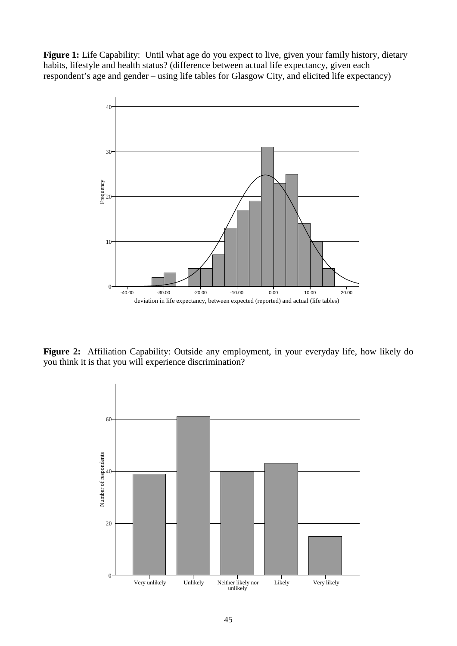**Figure 1:** Life Capability: Until what age do you expect to live, given your family history, dietary habits, lifestyle and health status? (difference between actual life expectancy, given each respondent's age and gender – using life tables for Glasgow City, and elicited life expectancy)



**Figure 2:** Affiliation Capability: Outside any employment, in your everyday life, how likely do

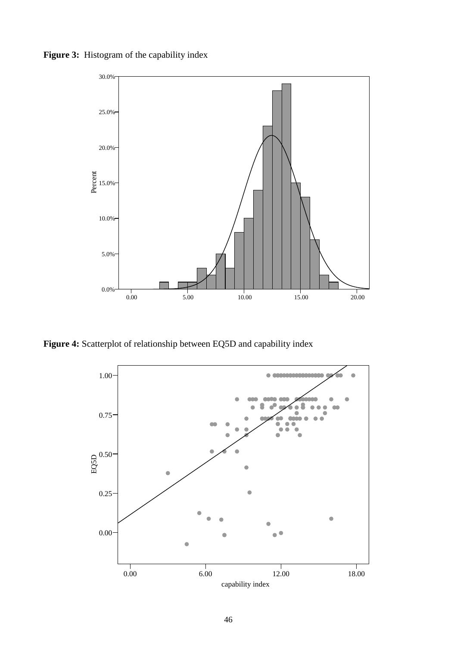Figure 3: Histogram of the capability index



**Figure 4:** Scatterplot of relationship between EQ5D and capability index